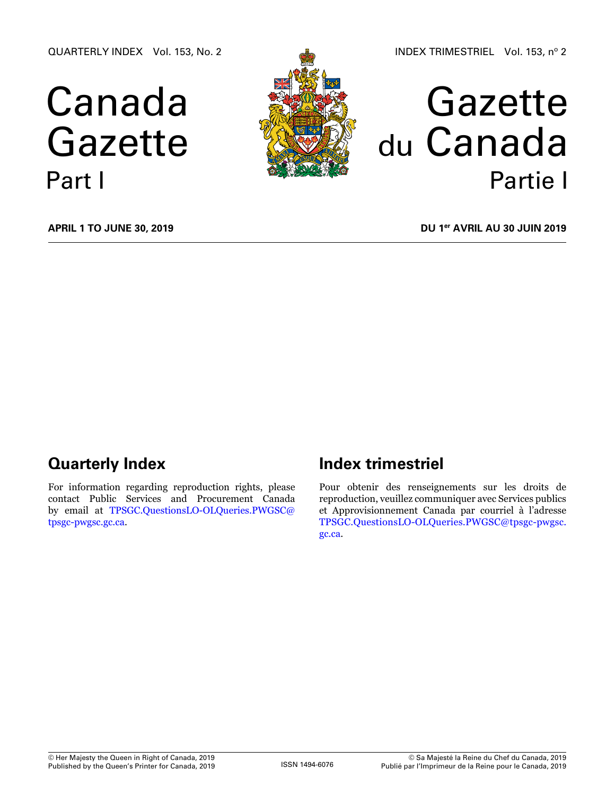QUARTERLY INDEX Vol. 153, No. 2

# Canada Gazette Part I



# Gazette du Canada Partie I

**April 1 to June 30, 2019**

**DU 1er avril au 30 juin 2019**

# **Quarterly Index**

For information regarding reproduction rights, please contact Public Services and Procurement Canada by email at [TPSGC.QuestionsLO-OLQueries.PWGSC@](mailto:TPSGC.QuestionsLO-OLQueries.PWGSC%40tpsgc-pwgsc.gc.ca?subject=) [tpsgc-pwgsc.gc.ca](mailto:TPSGC.QuestionsLO-OLQueries.PWGSC%40tpsgc-pwgsc.gc.ca?subject=).

# **Index trimestriel**

Pour obtenir des renseignements sur les droits de reproduction, veuillez communiquer avec Services publics et Approvisionnement Canada par courriel à l'adresse [TPSGC.QuestionsLO-OLQueries.PWGSC@tpsgc-pwgsc.](mailto:TPSGC.QuestionsLO-OLQueries.PWGSC%40tpsgc-pwgsc.gc.ca?subject=) [gc.ca](mailto:TPSGC.QuestionsLO-OLQueries.PWGSC%40tpsgc-pwgsc.gc.ca?subject=).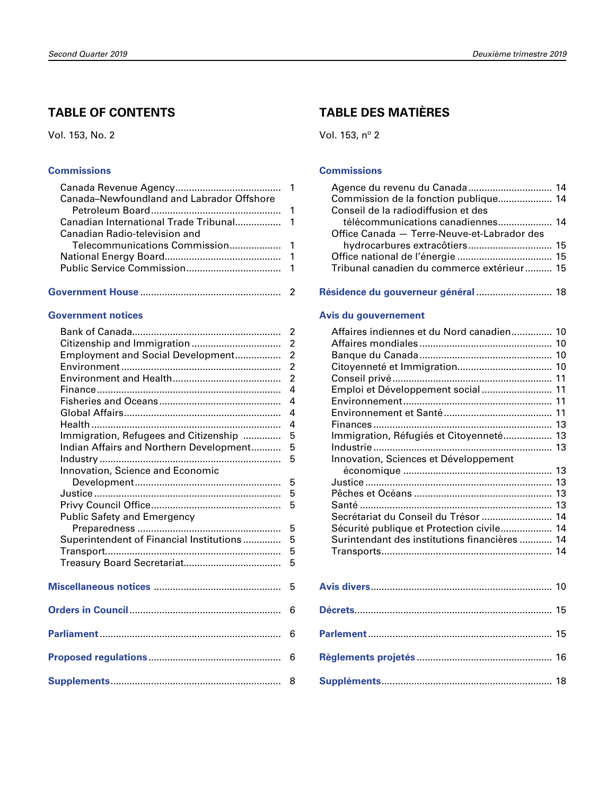## **TABLE OF CONTENTS**

Vol. 153, No. 2

#### **[Commissions](#page-2-0)**

| Canada-Newfoundland and Labrador Offshore |  |
|-------------------------------------------|--|
|                                           |  |
|                                           |  |
| Canadian Radio-television and             |  |
|                                           |  |
|                                           |  |
|                                           |  |
|                                           |  |

**[Government House](#page-3-0)** .................................................... 2

#### **[Government notices](#page-3-0)**

|                                          | $\overline{2}$ |
|------------------------------------------|----------------|
|                                          | $\overline{2}$ |
| Employment and Social Development        | $\overline{c}$ |
|                                          | $\overline{2}$ |
|                                          | $\overline{2}$ |
|                                          | $\overline{4}$ |
|                                          | 4              |
|                                          | $\overline{4}$ |
|                                          | 4              |
| Immigration, Refugees and Citizenship    | 5              |
| Indian Affairs and Northern Development  | 5              |
|                                          | 5              |
| Innovation, Science and Economic         |                |
|                                          | 5              |
|                                          | 5              |
|                                          | 5              |
| <b>Public Safety and Emergency</b>       |                |
|                                          | 5              |
| Superintendent of Financial Institutions | 5              |
|                                          | 5              |
|                                          | 5              |
|                                          |                |
|                                          | 5              |
|                                          |                |
|                                          | 6              |
|                                          |                |
|                                          | 6              |
|                                          |                |
|                                          | 6              |
|                                          |                |
|                                          | - 8            |
|                                          |                |

# **TABLE DES MATIÈRES**

Vol. 153, nº 2

#### **[Commissions](#page-15-0)**

| Agence du revenu du Canada 14               |  |
|---------------------------------------------|--|
| Commission de la fonction publique 14       |  |
| Conseil de la radiodiffusion et des         |  |
| télécommunications canadiennes 14           |  |
| Office Canada - Terre-Neuve-et-Labrador des |  |
| hydrocarbures extracôtiers 15               |  |
|                                             |  |
| Tribunal canadien du commerce extérieur 15  |  |

#### **[Résidence du gouverneur général](#page-19-0)** ............................ 18

#### **[Avis du gouvernement](#page-11-0)**

| Affaires indiennes et du Nord canadien 10     |    |
|-----------------------------------------------|----|
|                                               |    |
|                                               |    |
|                                               |    |
|                                               |    |
| Emploi et Développement social 11             |    |
|                                               |    |
|                                               |    |
|                                               |    |
| Immigration, Réfugiés et Citoyenneté 13       |    |
|                                               |    |
| Innovation, Sciences et Développement         |    |
|                                               |    |
|                                               |    |
|                                               |    |
|                                               |    |
| Secrétariat du Conseil du Trésor  14          |    |
| Sécurité publique et Protection civile 14     |    |
| Surintendant des institutions financières  14 |    |
|                                               |    |
|                                               |    |
|                                               |    |
|                                               |    |
|                                               |    |
|                                               | 15 |
|                                               |    |

**[Parlement](#page-16-0)**.................................................................... 15

**[Règlements projetés](#page-17-0)** .................................................. 16

**[Suppléments](#page-19-0)**............................................................... 18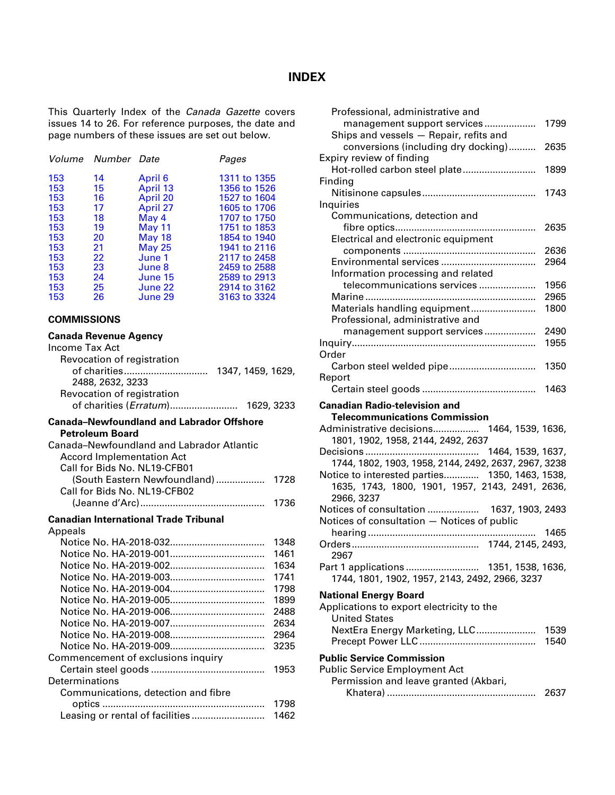#### **INDEX**

<span id="page-2-0"></span>This Quarterly Index of the *Canada Gazette* covers issues 14 to 26. For reference purposes, the date and page numbers of these issues are set out below.

|                                                                           | Volume Number Date                                             |                                                                                                                   | Pages                                                                                                                                                        |
|---------------------------------------------------------------------------|----------------------------------------------------------------|-------------------------------------------------------------------------------------------------------------------|--------------------------------------------------------------------------------------------------------------------------------------------------------------|
| 153<br>153<br>153<br>153<br>153<br>153<br>153<br>153<br>153<br>153<br>153 | 14<br>15<br>16<br>17<br>18<br>19<br>20<br>21<br>22<br>23<br>24 | April 6<br>April 13<br>April 20<br>April 27<br>May 4<br>May 11<br>May 18<br>May 25<br>June 1<br>June 8<br>June 15 | 1311 to 1355<br>1356 to 1526<br>1527 to 1604<br>1605 to 1706<br>1707 to 1750<br>1751 to 1853<br>1854 to 1940<br>1941 to 2116<br>2117 to 2458<br>2459 to 2588 |
| 153<br>153                                                                | 25<br>26                                                       | June 22<br>June 29                                                                                                | 2589 to 2913<br>2914 to 3162<br>3163 to 3324                                                                                                                 |

#### **COMMISSIONS**

#### **Canada Revenue Agency** Income Tax Act

| icome Tax Act              |                   |            |  |
|----------------------------|-------------------|------------|--|
| Revocation of registration |                   |            |  |
| of charities               | 1347, 1459, 1629, |            |  |
| 2488, 2632, 3233           |                   |            |  |
| Revocation of registration |                   |            |  |
| of charities (Erratum)     |                   | 1629, 3233 |  |
|                            |                   |            |  |

#### **Canada–Newfoundland and Labrador Offshore Petroleum Board**

| Canada–Newfoundland and Labrador Atlantic |        |
|-------------------------------------------|--------|
| <b>Accord Implementation Act</b>          |        |
| Call for Bids No. NL19-CFB01              |        |
|                                           |        |
| Call for Bids No. NL19-CFB02              |        |
|                                           | - 1736 |

#### **Canadian International Trade Tribunal**

| Appeals                             |      |
|-------------------------------------|------|
|                                     | 1348 |
|                                     | 1461 |
|                                     | 1634 |
|                                     | 1741 |
|                                     | 1798 |
|                                     | 1899 |
|                                     | 2488 |
|                                     | 2634 |
|                                     | 2964 |
|                                     | 3235 |
| Commencement of exclusions inquiry  |      |
|                                     | 1953 |
| Determinations                      |      |
| Communications, detection and fibre |      |
|                                     | 1798 |
| Leasing or rental of facilities     | 1462 |
|                                     |      |

| Professional, administrative and                     |      |
|------------------------------------------------------|------|
| management support services                          | 1799 |
| Ships and vessels - Repair, refits and               |      |
| conversions (including dry docking)                  | 2635 |
| Expiry review of finding                             |      |
| Hot-rolled carbon steel plate                        | 1899 |
| Finding                                              |      |
|                                                      | 1743 |
| Inquiries                                            |      |
| Communications, detection and                        |      |
|                                                      | 2635 |
| Electrical and electronic equipment                  |      |
|                                                      | 2636 |
|                                                      | 2964 |
| Information processing and related                   |      |
| telecommunications services                          | 1956 |
|                                                      | 2965 |
| Materials handling equipment                         | 1800 |
| Professional, administrative and                     |      |
| management support services                          | 2490 |
|                                                      | 1955 |
| Order                                                |      |
|                                                      | 1350 |
| Report                                               |      |
|                                                      | 1463 |
| <b>Canadian Radio-television and</b>                 |      |
| <b>Telecommunications Commission</b>                 |      |
| Administrative decisions 1464, 1539, 1636,           |      |
| 1801, 1902, 1958, 2144, 2492, 2637                   |      |
|                                                      |      |
| 1744, 1802, 1903, 1958, 2144, 2492, 2637, 2967, 3238 |      |
| Notice to interested parties 1350, 1463, 1538,       |      |
| 1635, 1743, 1800, 1901, 1957, 2143, 2491, 2636,      |      |
| 2966, 3237                                           |      |
| Notices of consultation  1637, 1903, 2493            |      |
| Notices of consultation - Notices of public          |      |
|                                                      | 1465 |
|                                                      |      |
|                                                      |      |
| 1744, 1801, 1902, 1957, 2143, 2492, 2966, 3237       |      |
|                                                      |      |
| <b>National Energy Board</b>                         |      |
| Applications to export electricity to the            |      |
| <b>United States</b>                                 |      |
| NextEra Energy Marketing, LLC                        | 1539 |
|                                                      | 1540 |
| <b>Public Service Commission</b>                     |      |
| <b>Public Service Employment Act</b>                 |      |
|                                                      |      |
|                                                      |      |
| Permission and leave granted (Akbari,                | 2637 |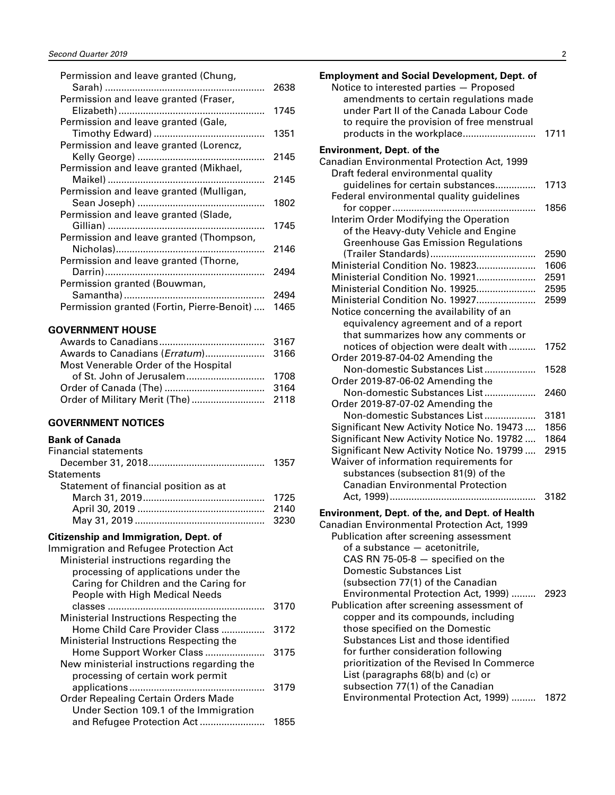<span id="page-3-0"></span>

| Permission and leave granted (Chung,       |      |
|--------------------------------------------|------|
|                                            | 2638 |
| Permission and leave granted (Fraser,      |      |
|                                            | 1745 |
| Permission and leave granted (Gale,        |      |
|                                            | 1351 |
| Permission and leave granted (Lorencz,     |      |
|                                            | 2145 |
| Permission and leave granted (Mikhael,     |      |
|                                            | 2145 |
| Permission and leave granted (Mulligan,    |      |
|                                            | 1802 |
| Permission and leave granted (Slade,       |      |
|                                            | 1745 |
| Permission and leave granted (Thompson,    |      |
|                                            | 2146 |
| Permission and leave granted (Thorne,      | 2494 |
|                                            |      |
| Permission granted (Bouwman,               | 2494 |
|                                            |      |
| Permission granted (Fortin, Pierre-Benoit) | 1465 |

#### **GOVERNMENT HOUSE**

| Most Venerable Order of the Hospital |  |
|--------------------------------------|--|
|                                      |  |
|                                      |  |
|                                      |  |

#### **GOVERNMENT NOTICES**

#### **Bank of Canada**

| <b>Financial statements</b>           |  |
|---------------------------------------|--|
|                                       |  |
| Statements                            |  |
| Statement of financial position as at |  |
|                                       |  |
|                                       |  |
|                                       |  |

# **Citizenship and Immigration, Dept. of**

| Immigration and Refugee Protection Act     |      |
|--------------------------------------------|------|
| Ministerial instructions regarding the     |      |
| processing of applications under the       |      |
| Caring for Children and the Caring for     |      |
| People with High Medical Needs             |      |
|                                            | 3170 |
| Ministerial Instructions Respecting the    |      |
| Home Child Care Provider Class             | 3172 |
| Ministerial Instructions Respecting the    |      |
| Home Support Worker Class                  | 3175 |
| New ministerial instructions regarding the |      |
| processing of certain work permit          |      |
|                                            | 3179 |
| <b>Order Repealing Certain Orders Made</b> |      |
| Under Section 109.1 of the Immigration     |      |
|                                            | 1855 |

| <b>Employment and Social Development, Dept. of</b><br>Notice to interested parties - Proposed<br>amendments to certain regulations made<br>under Part II of the Canada Labour Code<br>to require the provision of free menstrual | 1711 |
|----------------------------------------------------------------------------------------------------------------------------------------------------------------------------------------------------------------------------------|------|
| <b>Environment, Dept. of the</b><br>Canadian Environmental Protection Act, 1999<br>Draft federal environmental quality                                                                                                           |      |
| guidelines for certain substances<br>Federal environmental quality guidelines                                                                                                                                                    | 1713 |
| Interim Order Modifying the Operation<br>of the Heavy-duty Vehicle and Engine<br><b>Greenhouse Gas Emission Regulations</b>                                                                                                      | 1856 |
|                                                                                                                                                                                                                                  | 2590 |
| Ministerial Condition No. 19823                                                                                                                                                                                                  | 1606 |
| Ministerial Condition No. 19921                                                                                                                                                                                                  | 2591 |
| Ministerial Condition No. 19925                                                                                                                                                                                                  | 2595 |
| Ministerial Condition No. 19927                                                                                                                                                                                                  | 2599 |
| Notice concerning the availability of an                                                                                                                                                                                         |      |
| equivalency agreement and of a report                                                                                                                                                                                            |      |
| that summarizes how any comments or                                                                                                                                                                                              |      |
| notices of objection were dealt with                                                                                                                                                                                             | 1752 |
| Order 2019-87-04-02 Amending the                                                                                                                                                                                                 |      |
| Non-domestic Substances List                                                                                                                                                                                                     | 1528 |
| Order 2019-87-06-02 Amending the                                                                                                                                                                                                 |      |
| Non-domestic Substances List                                                                                                                                                                                                     | 2460 |
| Order 2019-87-07-02 Amending the                                                                                                                                                                                                 |      |
| Non-domestic Substances List                                                                                                                                                                                                     | 3181 |
| Significant New Activity Notice No. 19473                                                                                                                                                                                        | 1856 |
| Significant New Activity Notice No. 19782                                                                                                                                                                                        | 1864 |
| Significant New Activity Notice No. 19799                                                                                                                                                                                        | 2915 |
| Waiver of information requirements for                                                                                                                                                                                           |      |
| substances (subsection 81(9) of the                                                                                                                                                                                              |      |
| <b>Canadian Environmental Protection</b>                                                                                                                                                                                         |      |
|                                                                                                                                                                                                                                  | 3182 |
| Environment, Dept. of the, and Dept. of Health                                                                                                                                                                                   |      |

| Canadian Environmental Protection Act, 1999 |      |
|---------------------------------------------|------|
| Publication after screening assessment      |      |
| of a substance - acetonitrile,              |      |
| CAS RN 75-05-8 $-$ specified on the         |      |
| <b>Domestic Substances List</b>             |      |
| (subsection 77(1) of the Canadian           |      |
| Environmental Protection Act, 1999)         | 2923 |
| Publication after screening assessment of   |      |
| copper and its compounds, including         |      |
| those specified on the Domestic             |      |
| Substances List and those identified        |      |
| for further consideration following         |      |
| prioritization of the Revised In Commerce   |      |
| List (paragraphs 68(b) and (c) or           |      |
| subsection 77(1) of the Canadian            |      |
| Environmental Protection Act, 1999)         | 1872 |
|                                             |      |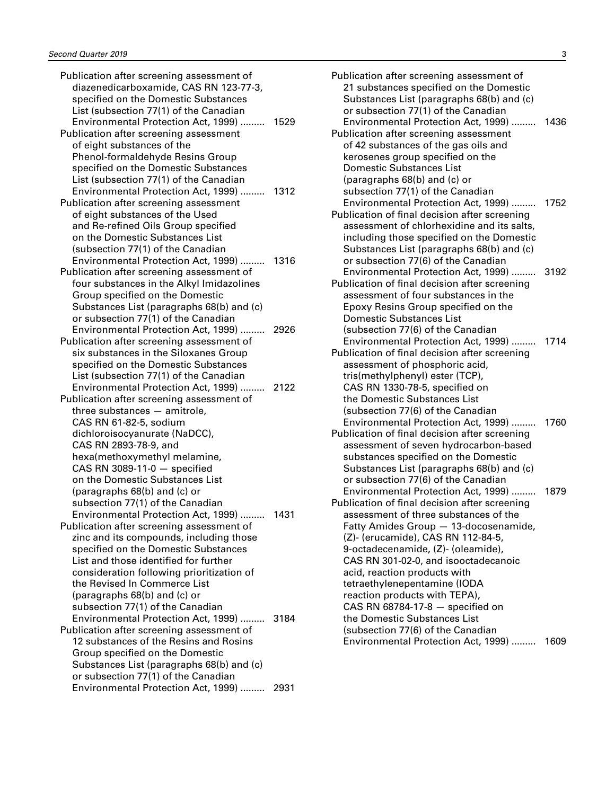| Publication after screening assessment of                                  |      |
|----------------------------------------------------------------------------|------|
| diazenedicarboxamide, CAS RN 123-77-3,                                     |      |
| specified on the Domestic Substances                                       |      |
| List (subsection 77(1) of the Canadian                                     |      |
| Environmental Protection Act, 1999)                                        | 1529 |
| Publication after screening assessment                                     |      |
| of eight substances of the                                                 |      |
| Phenol-formaldehyde Resins Group                                           |      |
| specified on the Domestic Substances                                       |      |
|                                                                            |      |
| List (subsection 77(1) of the Canadian                                     |      |
| Environmental Protection Act, 1999)  1312                                  |      |
| Publication after screening assessment                                     |      |
| of eight substances of the Used                                            |      |
| and Re-refined Oils Group specified                                        |      |
| on the Domestic Substances List                                            |      |
| (subsection 77(1) of the Canadian                                          |      |
| Environmental Protection Act, 1999)                                        | 1316 |
| Publication after screening assessment of                                  |      |
| four substances in the Alkyl Imidazolines                                  |      |
| Group specified on the Domestic                                            |      |
| Substances List (paragraphs 68(b) and (c)                                  |      |
| or subsection 77(1) of the Canadian                                        |      |
| Environmental Protection Act, 1999)                                        | 2926 |
| Publication after screening assessment of                                  |      |
| six substances in the Siloxanes Group                                      |      |
| specified on the Domestic Substances                                       |      |
|                                                                            |      |
| List (subsection 77(1) of the Canadian                                     |      |
| Environmental Protection Act, 1999)  2122                                  |      |
| Publication after screening assessment of                                  |      |
| three substances - amitrole,                                               |      |
| CAS RN 61-82-5, sodium                                                     |      |
| dichloroisocyanurate (NaDCC),                                              |      |
| CAS RN 2893-78-9, and                                                      |      |
| hexa(methoxymethyl melamine,                                               |      |
| CAS RN 3089-11-0 $-$ specified                                             |      |
| on the Domestic Substances List                                            |      |
| (paragraphs 68(b) and (c) or                                               |      |
| subsection 77(1) of the Canadian                                           |      |
| Environmental Protection Act, 1999)  1431                                  |      |
| Publication after screening assessment of                                  |      |
| zinc and its compounds, including those                                    |      |
| specified on the Domestic Substances                                       |      |
|                                                                            |      |
|                                                                            |      |
| List and those identified for further                                      |      |
| consideration following prioritization of                                  |      |
| the Revised In Commerce List                                               |      |
| (paragraphs 68(b) and (c) or                                               |      |
| subsection 77(1) of the Canadian                                           |      |
| Environmental Protection Act, 1999)                                        | 3184 |
| Publication after screening assessment of                                  |      |
| 12 substances of the Resins and Rosins                                     |      |
| Group specified on the Domestic                                            |      |
| Substances List (paragraphs 68(b) and (c)                                  |      |
| or subsection 77(1) of the Canadian<br>Environmental Protection Act, 1999) | 2931 |

| Publication after screening assessment of     |      |
|-----------------------------------------------|------|
| 21 substances specified on the Domestic       |      |
| Substances List (paragraphs 68(b) and (c)     |      |
| or subsection 77(1) of the Canadian           |      |
| Environmental Protection Act, 1999)           | 1436 |
| Publication after screening assessment        |      |
| of 42 substances of the gas oils and          |      |
| kerosenes group specified on the              |      |
| <b>Domestic Substances List</b>               |      |
| (paragraphs 68(b) and (c) or                  |      |
| subsection 77(1) of the Canadian              |      |
| Environmental Protection Act, 1999)           | 1752 |
| Publication of final decision after screening |      |
| assessment of chlorhexidine and its salts,    |      |
| including those specified on the Domestic     |      |
| Substances List (paragraphs 68(b) and (c)     |      |
| or subsection 77(6) of the Canadian           |      |
| Environmental Protection Act, 1999)           | 3192 |
| Publication of final decision after screening |      |
| assessment of four substances in the          |      |
| Epoxy Resins Group specified on the           |      |
| <b>Domestic Substances List</b>               |      |
| (subsection 77(6) of the Canadian             |      |
| Environmental Protection Act, 1999)           | 1714 |
| Publication of final decision after screening |      |
| assessment of phosphoric acid,                |      |
| tris(methylphenyl) ester (TCP),               |      |
| CAS RN 1330-78-5, specified on                |      |
| the Domestic Substances List                  |      |
| (subsection 77(6) of the Canadian             |      |
| Environmental Protection Act, 1999)           | 1760 |
| Publication of final decision after screening |      |
| assessment of seven hydrocarbon-based         |      |
| substances specified on the Domestic          |      |
| Substances List (paragraphs 68(b) and (c)     |      |
| or subsection 77(6) of the Canadian           |      |
| Environmental Protection Act, 1999)           | 1879 |
| Publication of final decision after screening |      |
| assessment of three substances of the         |      |
| Fatty Amides Group - 13-docosenamide,         |      |
| (Z)- (erucamide), CAS RN 112-84-5,            |      |
| 9-octadecenamide, (Z)- (oleamide),            |      |
| CAS RN 301-02-0, and isooctadecanoic          |      |
| acid, reaction products with                  |      |
| tetraethylenepentamine (IODA                  |      |
| reaction products with TEPA),                 |      |
| CAS RN 68784-17-8 - specified on              |      |
| the Domestic Substances List                  |      |
| (subsection 77(6) of the Canadian             |      |
| Environmental Protection Act, 1999)           | 1609 |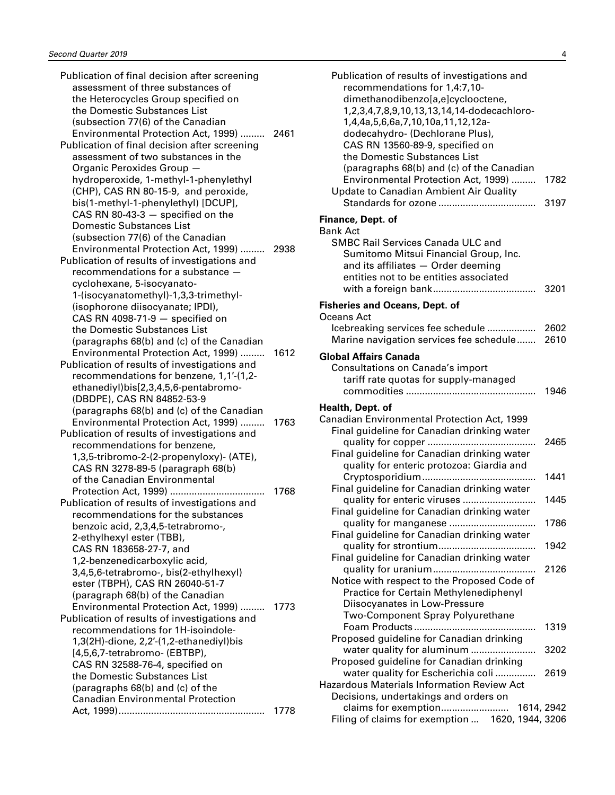| Publication of final decision after screening |      |
|-----------------------------------------------|------|
| assessment of three substances of             |      |
| the Heterocycles Group specified on           |      |
| the Domestic Substances List                  |      |
| (subsection 77(6) of the Canadian             |      |
| Environmental Protection Act, 1999)           | 2461 |
| Publication of final decision after screening |      |
| assessment of two substances in the           |      |
| Organic Peroxides Group -                     |      |
| hydroperoxide, 1-methyl-1-phenylethyl         |      |
| (CHP), CAS RN 80-15-9, and peroxide,          |      |
| bis(1-methyl-1-phenylethyl) [DCUP],           |      |
| CAS RN 80-43-3 $-$ specified on the           |      |
| <b>Domestic Substances List</b>               |      |
| (subsection 77(6) of the Canadian             |      |
| Environmental Protection Act, 1999)           | 2938 |
| Publication of results of investigations and  |      |
| recommendations for a substance -             |      |
| cyclohexane, 5-isocyanato-                    |      |
| 1-(isocyanatomethyl)-1,3,3-trimethyl-         |      |
| (isophorone diisocyanate; IPDI),              |      |
| CAS RN 4098-71-9 $-$ specified on             |      |
| the Domestic Substances List                  |      |
| (paragraphs 68(b) and (c) of the Canadian     |      |
| Environmental Protection Act, 1999)           | 1612 |
| Publication of results of investigations and  |      |
| recommendations for benzene, 1,1'-(1,2-       |      |
| ethanediyl)bis[2,3,4,5,6-pentabromo-          |      |
| (DBDPE), CAS RN 84852-53-9                    |      |
| (paragraphs 68(b) and (c) of the Canadian     |      |
| Environmental Protection Act, 1999)           | 1763 |
| Publication of results of investigations and  |      |
| recommendations for benzene,                  |      |
| 1,3,5-tribromo-2-(2-propenyloxy)- (ATE),      |      |
| CAS RN 3278-89-5 (paragraph 68(b)             |      |
| of the Canadian Environmental                 |      |
|                                               | 1768 |
| Publication of results of investigations and  |      |
| recommendations for the substances            |      |
|                                               |      |
| benzoic acid, 2,3,4,5-tetrabromo-,            |      |
| 2-ethylhexyl ester (TBB),                     |      |
| CAS RN 183658-27-7, and                       |      |
| 1,2-benzenedicarboxylic acid,                 |      |
| 3,4,5,6-tetrabromo-, bis(2-ethylhexyl)        |      |
| ester (TBPH), CAS RN 26040-51-7               |      |
| (paragraph 68(b) of the Canadian              |      |
| Environmental Protection Act, 1999)           | 1773 |
| Publication of results of investigations and  |      |
| recommendations for 1H-isoindole-             |      |
| 1,3(2H)-dione, 2,2'-(1,2-ethanediyl)bis       |      |
| [4,5,6,7-tetrabromo- (EBTBP),                 |      |
| CAS RN 32588-76-4, specified on               |      |
| the Domestic Substances List                  |      |
| (paragraphs 68(b) and (c) of the              |      |
| <b>Canadian Environmental Protection</b>      |      |
|                                               | 1778 |

| Publication of results of investigations and<br>recommendations for 1,4:7,10-<br>dimethanodibenzo[a,e]cyclooctene,<br>1,2,3,4,7,8,9,10,13,13,14,14-dodecachloro-<br>1,4,4a,5,6,6a,7,10,10a,11,12,12a-<br>dodecahydro- (Dechlorane Plus),<br>CAS RN 13560-89-9, specified on<br>the Domestic Substances List<br>(paragraphs 68(b) and (c) of the Canadian<br>Environmental Protection Act, 1999) | 1782       |
|-------------------------------------------------------------------------------------------------------------------------------------------------------------------------------------------------------------------------------------------------------------------------------------------------------------------------------------------------------------------------------------------------|------------|
| Update to Canadian Ambient Air Quality                                                                                                                                                                                                                                                                                                                                                          | 3197       |
| Finance, Dept. of                                                                                                                                                                                                                                                                                                                                                                               |            |
| <b>Bank Act</b><br><b>SMBC Rail Services Canada ULC and</b><br>Sumitomo Mitsui Financial Group, Inc.<br>and its affiliates - Order deeming<br>entities not to be entities associated                                                                                                                                                                                                            | 3201       |
| <b>Fisheries and Oceans, Dept. of</b>                                                                                                                                                                                                                                                                                                                                                           |            |
| Oceans Act                                                                                                                                                                                                                                                                                                                                                                                      |            |
| Icebreaking services fee schedule                                                                                                                                                                                                                                                                                                                                                               | 2602       |
| Marine navigation services fee schedule                                                                                                                                                                                                                                                                                                                                                         | 2610       |
|                                                                                                                                                                                                                                                                                                                                                                                                 |            |
| <b>Global Affairs Canada</b><br>Consultations on Canada's import<br>tariff rate quotas for supply-managed                                                                                                                                                                                                                                                                                       | 1946       |
|                                                                                                                                                                                                                                                                                                                                                                                                 |            |
|                                                                                                                                                                                                                                                                                                                                                                                                 |            |
| Health, Dept. of<br>Canadian Environmental Protection Act, 1999                                                                                                                                                                                                                                                                                                                                 |            |
| Final guideline for Canadian drinking water                                                                                                                                                                                                                                                                                                                                                     |            |
|                                                                                                                                                                                                                                                                                                                                                                                                 | 2465       |
| Final guideline for Canadian drinking water                                                                                                                                                                                                                                                                                                                                                     |            |
| quality for enteric protozoa: Giardia and                                                                                                                                                                                                                                                                                                                                                       |            |
|                                                                                                                                                                                                                                                                                                                                                                                                 | 1441       |
| Final guideline for Canadian drinking water                                                                                                                                                                                                                                                                                                                                                     |            |
| quality for enteric viruses                                                                                                                                                                                                                                                                                                                                                                     | 1445       |
| Final guideline for Canadian drinking water                                                                                                                                                                                                                                                                                                                                                     |            |
|                                                                                                                                                                                                                                                                                                                                                                                                 | 1786       |
| quality for manganese<br>Final guideline for Canadian drinking water                                                                                                                                                                                                                                                                                                                            |            |
|                                                                                                                                                                                                                                                                                                                                                                                                 | 1942       |
| Final guideline for Canadian drinking water                                                                                                                                                                                                                                                                                                                                                     |            |
|                                                                                                                                                                                                                                                                                                                                                                                                 | 2126       |
| Notice with respect to the Proposed Code of                                                                                                                                                                                                                                                                                                                                                     |            |
| Practice for Certain Methylenediphenyl                                                                                                                                                                                                                                                                                                                                                          |            |
| Diisocyanates in Low-Pressure                                                                                                                                                                                                                                                                                                                                                                   |            |
| Two-Component Spray Polyurethane                                                                                                                                                                                                                                                                                                                                                                |            |
| Foam Products                                                                                                                                                                                                                                                                                                                                                                                   | 1319       |
| Proposed guideline for Canadian drinking                                                                                                                                                                                                                                                                                                                                                        |            |
| water quality for aluminum                                                                                                                                                                                                                                                                                                                                                                      | 3202       |
| Proposed guideline for Canadian drinking                                                                                                                                                                                                                                                                                                                                                        |            |
| water quality for Escherichia coli                                                                                                                                                                                                                                                                                                                                                              | 2619       |
| Hazardous Materials Information Review Act                                                                                                                                                                                                                                                                                                                                                      |            |
| Decisions, undertakings and orders on<br>claims for exemption                                                                                                                                                                                                                                                                                                                                   | 1614, 2942 |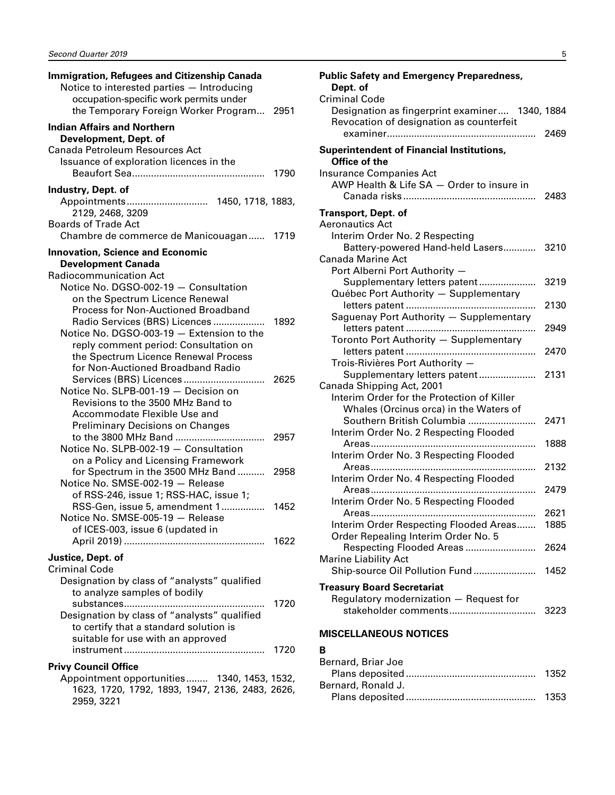<span id="page-6-0"></span>

| Immigration, Refugees and Citizenship Canada<br>Notice to interested parties - Introducing<br>occupation-specific work permits under<br>the Temporary Foreign Worker Program 2951                                 |      |
|-------------------------------------------------------------------------------------------------------------------------------------------------------------------------------------------------------------------|------|
| <b>Indian Affairs and Northern</b><br>Development, Dept. of<br>Canada Petroleum Resources Act<br>Issuance of exploration licences in the                                                                          | 1790 |
| Industry, Dept. of<br>Appointments 1450, 1718, 1883,<br>2129, 2468, 3209<br><b>Boards of Trade Act</b>                                                                                                            |      |
| Chambre de commerce de Manicouagan                                                                                                                                                                                | 1719 |
| <b>Innovation, Science and Economic</b><br><b>Development Canada</b><br>Radiocommunication Act<br>Notice No. DGSO-002-19 - Consultation<br>on the Spectrum Licence Renewal<br>Process for Non-Auctioned Broadband |      |
| Radio Services (BRS) Licences<br>Notice No. DGSO-003-19 - Extension to the<br>reply comment period: Consultation on<br>the Spectrum Licence Renewal Process<br>for Non-Auctioned Broadband Radio                  | 1892 |
| Notice No. SLPB-001-19 - Decision on<br>Revisions to the 3500 MHz Band to<br>Accommodate Flexible Use and<br><b>Preliminary Decisions on Changes</b>                                                              |      |
| Notice No. SLPB-002-19 - Consultation<br>on a Policy and Licensing Framework                                                                                                                                      | 2957 |
| for Spectrum in the 3500 MHz Band<br>Notice No. SMSE-002-19 - Release<br>of RSS-246, issue 1; RSS-HAC, issue 1;                                                                                                   | 2958 |
| RSS-Gen, issue 5, amendment 1<br>Notice No. SMSE-005-19 - Release<br>of ICES-003, issue 6 (updated in                                                                                                             | 1452 |
|                                                                                                                                                                                                                   |      |
| Justice, Dept. of<br><b>Criminal Code</b><br>Designation by class of "analysts" qualified                                                                                                                         |      |
| to analyze samples of bodily<br>Designation by class of "analysts" qualified<br>to certify that a standard solution is<br>suitable for use with an approved                                                       | 1720 |
|                                                                                                                                                                                                                   | 1720 |
| <b>Privy Council Office</b>                                                                                                                                                                                       |      |
| Appointment opportunities 1340, 1453, 1532,<br>1623, 1720, 1792, 1893, 1947, 2136, 2483, 2626,<br>2959, 3221                                                                                                      |      |

| <b>Public Safety and Emergency Preparedness,</b><br>Dept. of<br><b>Criminal Code</b>       |      |
|--------------------------------------------------------------------------------------------|------|
| Designation as fingerprint examiner 1340, 1884<br>Revocation of designation as counterfeit |      |
|                                                                                            | 2469 |
| <b>Superintendent of Financial Institutions,</b>                                           |      |
| Office of the                                                                              |      |
| <b>Insurance Companies Act</b><br>AWP Health & Life SA - Order to insure in                |      |
|                                                                                            | 2483 |
|                                                                                            |      |
| <b>Transport, Dept. of</b>                                                                 |      |
| <b>Aeronautics Act</b>                                                                     |      |
| Interim Order No. 2 Respecting                                                             |      |
| Battery-powered Hand-held Lasers<br><b>Canada Marine Act</b>                               | 3210 |
| Port Alberni Port Authority -                                                              |      |
| Supplementary letters patent                                                               | 3219 |
| Québec Port Authority - Supplementary                                                      |      |
|                                                                                            | 2130 |
| Saguenay Port Authority - Supplementary                                                    |      |
|                                                                                            | 2949 |
| Toronto Port Authority - Supplementary                                                     |      |
|                                                                                            | 2470 |
| Trois-Rivières Port Authority -                                                            |      |
| Supplementary letters patent                                                               | 2131 |
| Canada Shipping Act, 2001<br>Interim Order for the Protection of Killer                    |      |
| Whales (Orcinus orca) in the Waters of                                                     |      |
| Southern British Columbia                                                                  | 2471 |
| Interim Order No. 2 Respecting Flooded                                                     |      |
|                                                                                            | 1888 |
| Interim Order No. 3 Respecting Flooded                                                     |      |
|                                                                                            | 2132 |
| Interim Order No. 4 Respecting Flooded                                                     |      |
|                                                                                            | 2479 |
| Interim Order No. 5 Respecting Flooded                                                     |      |

### Regulatory modernization — Request for stakeholder comments................................ 3223 **MISCELLANEOUS NOTICES**

Order Repealing Interim Order No. 5

Marine Liability Act

**Treasury Board Secretariat**

#### **B**

Areas............................................................. 2621 Interim Order Respecting Flooded Areas....... 1885

Respecting Flooded Areas .......................... 2624

Ship-source Oil Pollution Fund ....................... 1452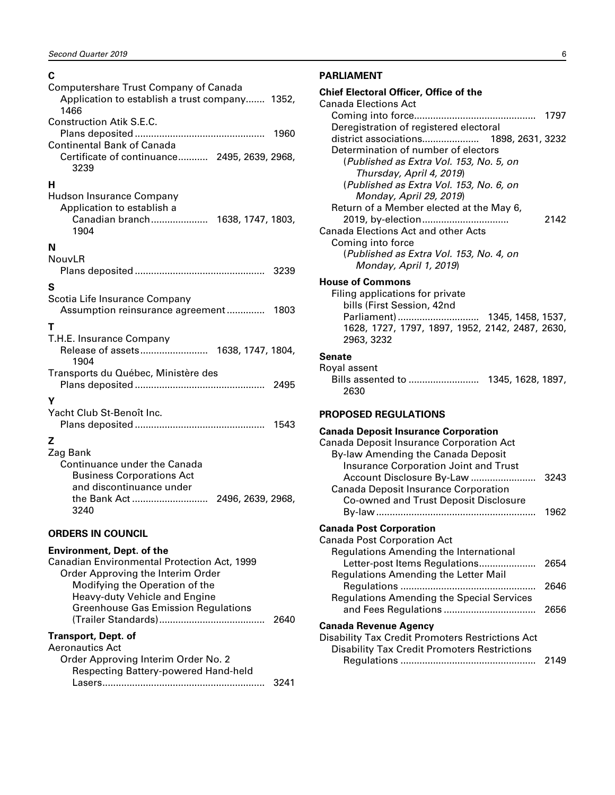#### <span id="page-7-0"></span>**C**

| Computershare Trust Company of Canada<br>Application to establish a trust company 1352,<br>1466                                                        |
|--------------------------------------------------------------------------------------------------------------------------------------------------------|
| <b>Construction Atik S.E.C.</b><br>1960                                                                                                                |
| Continental Bank of Canada<br>Certificate of continuance 2495, 2639, 2968,<br>3239                                                                     |
| н<br>Hudson Insurance Company<br>Application to establish a<br>Canadian branch 1638, 1747, 1803,<br>1904                                               |
| N<br>NouvLR                                                                                                                                            |
| S                                                                                                                                                      |
| Scotia Life Insurance Company<br>Assumption reinsurance agreement<br>1803                                                                              |
| т                                                                                                                                                      |
| T.H.E. Insurance Company<br>1904                                                                                                                       |
| Transports du Québec, Ministère des<br>2495                                                                                                            |
| γ<br>Yacht Club St-Benoît Inc.<br>1543                                                                                                                 |
| z<br>Zag Bank<br>Continuance under the Canada<br><b>Business Corporations Act</b><br>and discontinuance under<br>3240                                  |
| <b>ORDERS IN COUNCIL</b>                                                                                                                               |
| <b>Environment, Dept. of the</b><br>Canadian Environmental Protection Act, 1999<br>Order Approving the Interim Order<br>Modifying the Operation of the |

| <u>Urder Approving the internit Order</u>  |      |
|--------------------------------------------|------|
| Modifying the Operation of the             |      |
| Heavy-duty Vehicle and Engine              |      |
| <b>Greenhouse Gas Emission Regulations</b> |      |
|                                            | 2640 |
| Transport, Dept. of                        |      |
| Aeronautics Act                            |      |
| Order Approving Interim Order No. 2        |      |
| Respecting Battery-powered Hand-held       |      |
| Lasers                                     |      |

#### **PARLIAMENT**

| <b>Chief Electoral Officer, Office of the</b><br><b>Canada Elections Act</b>                                                                                                                                                                                                                                                                                          |
|-----------------------------------------------------------------------------------------------------------------------------------------------------------------------------------------------------------------------------------------------------------------------------------------------------------------------------------------------------------------------|
|                                                                                                                                                                                                                                                                                                                                                                       |
| Deregistration of registered electoral                                                                                                                                                                                                                                                                                                                                |
| Determination of number of electors<br>(Published as Extra Vol. 153, No. 5, on<br>Thursday, April 4, 2019)<br>(Published as Extra Vol. 153, No. 6, on<br>Monday, April 29, 2019)<br>Return of a Member elected at the May 6,<br>2142<br>Canada Elections Act and other Acts<br>Coming into force<br>(Published as Extra Vol. 153, No. 4, on<br>Monday, April 1, 2019) |
| <b>House of Commons</b><br>Filing applications for private<br>bills (First Session, 42nd<br>Parliament)  1345, 1458, 1537,<br>1628, 1727, 1797, 1897, 1952, 2142, 2487, 2630,<br>2963, 3232                                                                                                                                                                           |
| Senate<br>Royal assent<br>Bills assented to  1345, 1628, 1897,<br>2630                                                                                                                                                                                                                                                                                                |
| <b>PROPOSED REGULATIONS</b>                                                                                                                                                                                                                                                                                                                                           |
| <b>Canada Deposit Insurance Corporation</b><br>Canada Deposit Insurance Corporation Act<br>By-law Amending the Canada Deposit<br>Insurance Corporation Joint and Trust<br>Account Disclosure By-Law<br>3243                                                                                                                                                           |
| Canada Deposit Insurance Corporation<br>Co-owned and Trust Deposit Disclosure                                                                                                                                                                                                                                                                                         |

#### **Canada Post Corporation**

| <b>Canada Post Corporation Act</b>                  |      |
|-----------------------------------------------------|------|
| Regulations Amending the International              |      |
| Letter-post Items Regulations                       | 2654 |
| Regulations Amending the Letter Mail                |      |
|                                                     | 2646 |
| <b>Regulations Amending the Special Services</b>    |      |
|                                                     | 2656 |
| Canada Revenue Agency                               |      |
| Disability Tax Credit Promoters Restrictions Act    |      |
| <b>Disability Tax Credit Promoters Restrictions</b> |      |
|                                                     |      |

By-law ........................................................... 1962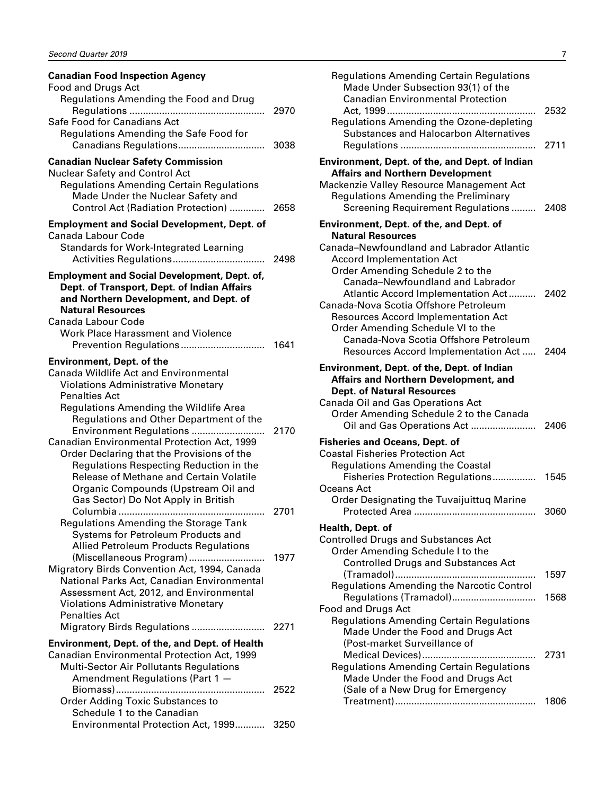| <b>Canadian Food Inspection Agency</b>                                                                                                                                                                                                                                                                                              |              |
|-------------------------------------------------------------------------------------------------------------------------------------------------------------------------------------------------------------------------------------------------------------------------------------------------------------------------------------|--------------|
| Food and Drugs Act<br>Regulations Amending the Food and Drug                                                                                                                                                                                                                                                                        | 2970         |
| Safe Food for Canadians Act<br>Regulations Amending the Safe Food for<br>Canadians Regulations                                                                                                                                                                                                                                      | 3038         |
| <b>Canadian Nuclear Safety Commission</b><br>Nuclear Safety and Control Act                                                                                                                                                                                                                                                         |              |
| <b>Regulations Amending Certain Regulations</b><br>Made Under the Nuclear Safety and<br>Control Act (Radiation Protection)                                                                                                                                                                                                          | 2658         |
| <b>Employment and Social Development, Dept. of</b>                                                                                                                                                                                                                                                                                  |              |
| Canada Labour Code<br>Standards for Work-Integrated Learning                                                                                                                                                                                                                                                                        | 2498         |
| <b>Employment and Social Development, Dept. of,</b><br>Dept. of Transport, Dept. of Indian Affairs<br>and Northern Development, and Dept. of<br><b>Natural Resources</b><br>Canada Labour Code<br><b>Work Place Harassment and Violence</b>                                                                                         | 1641         |
| <b>Environment, Dept. of the</b>                                                                                                                                                                                                                                                                                                    |              |
| <b>Canada Wildlife Act and Environmental</b><br><b>Violations Administrative Monetary</b><br><b>Penalties Act</b><br>Regulations Amending the Wildlife Area                                                                                                                                                                         |              |
| Regulations and Other Department of the<br>Environment Regulations<br>Canadian Environmental Protection Act, 1999<br>Order Declaring that the Provisions of the<br>Regulations Respecting Reduction in the<br>Release of Methane and Certain Volatile<br>Organic Compounds (Upstream Oil and<br>Gas Sector) Do Not Apply in British | 2170         |
| .                                                                                                                                                                                                                                                                                                                                   | 2701         |
| Regulations Amending the Storage Tank<br>Systems for Petroleum Products and<br><b>Allied Petroleum Products Regulations</b>                                                                                                                                                                                                         |              |
| (Miscellaneous Program)<br>Migratory Birds Convention Act, 1994, Canada<br>National Parks Act, Canadian Environmental<br>Assessment Act, 2012, and Environmental<br><b>Violations Administrative Monetary</b><br><b>Penalties Act</b><br>Migratory Birds Regulations                                                                | 1977<br>2271 |
| Environment, Dept. of the, and Dept. of Health                                                                                                                                                                                                                                                                                      |              |
| Canadian Environmental Protection Act, 1999<br>Multi-Sector Air Pollutants Regulations<br>Amendment Regulations (Part 1 -                                                                                                                                                                                                           |              |
| <b>Order Adding Toxic Substances to</b>                                                                                                                                                                                                                                                                                             | 2522         |
| Schedule 1 to the Canadian<br>Environmental Protection Act, 1999                                                                                                                                                                                                                                                                    | 3250         |

| <b>Regulations Amending Certain Regulations</b><br>Made Under Subsection 93(1) of the<br><b>Canadian Environmental Protection</b><br>Regulations Amending the Ozone-depleting<br><b>Substances and Halocarbon Alternatives</b>                         | 2532<br>2711 |
|--------------------------------------------------------------------------------------------------------------------------------------------------------------------------------------------------------------------------------------------------------|--------------|
| Environment, Dept. of the, and Dept. of Indian<br><b>Affairs and Northern Development</b><br>Mackenzie Valley Resource Management Act<br><b>Regulations Amending the Preliminary</b><br>Screening Requirement Regulations                              | 2408         |
| Environment, Dept. of the, and Dept. of<br><b>Natural Resources</b><br>Canada-Newfoundland and Labrador Atlantic<br><b>Accord Implementation Act</b><br>Order Amending Schedule 2 to the                                                               |              |
| Canada-Newfoundland and Labrador<br>Atlantic Accord Implementation Act<br>Canada-Nova Scotia Offshore Petroleum<br><b>Resources Accord Implementation Act</b><br>Order Amending Schedule VI to the<br>Canada-Nova Scotia Offshore Petroleum            | 2402         |
| Resources Accord Implementation Act<br><b>Environment, Dept. of the, Dept. of Indian</b><br>Affairs and Northern Development, and<br><b>Dept. of Natural Resources</b><br>Canada Oil and Gas Operations Act<br>Order Amending Schedule 2 to the Canada | 2404         |
| Oil and Gas Operations Act<br><b>Fisheries and Oceans, Dept. of</b><br><b>Coastal Fisheries Protection Act</b><br><b>Regulations Amending the Coastal</b><br>Fisheries Protection Regulations<br><b>Oceans Act</b>                                     | 2406<br>1545 |
| Order Designating the Tuvaijuittug Marine                                                                                                                                                                                                              | 3060         |
| Health, Dept. of<br><b>Controlled Drugs and Substances Act</b><br>Order Amending Schedule I to the                                                                                                                                                     |              |
| <b>Controlled Drugs and Substances Act</b><br>Regulations Amending the Narcotic Control                                                                                                                                                                | 1597         |
| Regulations (Tramadol)<br><b>Food and Drugs Act</b><br><b>Regulations Amending Certain Regulations</b><br>Made Under the Food and Drugs Act<br>(Post-market Surveillance of                                                                            | 1568         |
| Medical Devices)<br><b>Regulations Amending Certain Regulations</b><br>Made Under the Food and Drugs Act<br>(Sale of a New Drug for Emergency                                                                                                          | 2731<br>1806 |
|                                                                                                                                                                                                                                                        |              |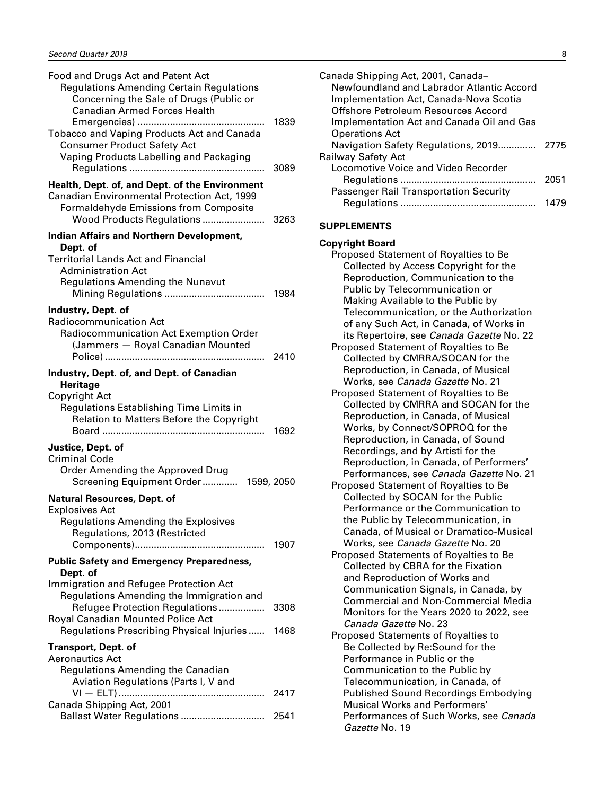<span id="page-9-0"></span>

| Food and Drugs Act and Patent Act<br><b>Regulations Amending Certain Regulations</b><br>Concerning the Sale of Drugs (Public or                                                                                           |              |
|---------------------------------------------------------------------------------------------------------------------------------------------------------------------------------------------------------------------------|--------------|
| <b>Canadian Armed Forces Health</b><br>Tobacco and Vaping Products Act and Canada<br><b>Consumer Product Safety Act</b><br>Vaping Products Labelling and Packaging                                                        | 1839<br>3089 |
| Health, Dept. of, and Dept. of the Environment<br>Canadian Environmental Protection Act, 1999<br>Formaldehyde Emissions from Composite                                                                                    |              |
| <b>Indian Affairs and Northern Development,</b><br>Dept. of<br><b>Territorial Lands Act and Financial</b><br><b>Administration Act</b><br><b>Regulations Amending the Nunavut</b>                                         | 1984         |
| Industry, Dept. of<br><b>Radiocommunication Act</b><br>Radiocommunication Act Exemption Order<br>(Jammers - Royal Canadian Mounted                                                                                        |              |
| Industry, Dept. of, and Dept. of Canadian<br><b>Heritage</b><br>Copyright Act<br>Regulations Establishing Time Limits in<br>Relation to Matters Before the Copyright                                                      | 1692         |
| Justice, Dept. of<br><b>Criminal Code</b><br>Order Amending the Approved Drug<br>Screening Equipment Order 1599, 2050                                                                                                     |              |
| <b>Natural Resources, Dept. of</b><br><b>Explosives Act</b><br><b>Regulations Amending the Explosives</b><br>Regulations, 2013 (Restricted                                                                                | 1907         |
| <b>Public Safety and Emergency Preparedness,</b><br>Dept. of<br>Immigration and Refugee Protection Act<br>Regulations Amending the Immigration and<br>Refugee Protection Regulations<br>Royal Canadian Mounted Police Act | 3308         |
| Regulations Prescribing Physical Injuries<br><b>Transport, Dept. of</b><br><b>Aeronautics Act</b><br><b>Regulations Amending the Canadian</b><br>Aviation Regulations (Parts I, V and                                     | 1468         |
| Canada Shipping Act, 2001<br>Ballast Water Regulations                                                                                                                                                                    | 2417<br>2541 |

| Canada Shipping Act, 2001, Canada-<br>Newfoundland and Labrador Atlantic Accord<br>Implementation Act, Canada-Nova Scotia<br>Offshore Petroleum Resources Accord |       |
|------------------------------------------------------------------------------------------------------------------------------------------------------------------|-------|
| Implementation Act and Canada Oil and Gas<br><b>Operations Act</b>                                                                                               |       |
| Navigation Safety Regulations, 2019                                                                                                                              | -2775 |
| Railway Safety Act                                                                                                                                               |       |
| Locomotive Voice and Video Recorder                                                                                                                              |       |
|                                                                                                                                                                  | 2051  |
| Passenger Rail Transportation Security                                                                                                                           |       |
|                                                                                                                                                                  | 1479  |
| <b>SUPPLEMENTS</b>                                                                                                                                               |       |
| <b>Copyright Board</b>                                                                                                                                           |       |
| Proposed Statement of Royalties to Be                                                                                                                            |       |
| Collected by Access Copyright for the                                                                                                                            |       |
| Reproduction, Communication to the                                                                                                                               |       |
| Public by Telecommunication or                                                                                                                                   |       |
| Making Available to the Public by                                                                                                                                |       |
| Telecommunication, or the Authorization                                                                                                                          |       |
| of any Such Act, in Canada, of Works in                                                                                                                          |       |
| its Repertoire, see Canada Gazette No. 22                                                                                                                        |       |

| Proposed Statement of Royalties to Be |
|---------------------------------------|
| Collected by CMRRA/SOCAN for the      |
| Reproduction, in Canada, of Musical   |
| Works, see Canada Gazette No. 21      |

- Proposed Statement of Royalties to Be Collected by CMRRA and SOCAN for the Reproduction, in Canada, of Musical Works, by Connect/SOPROQ for the Reproduction, in Canada, of Sound Recordings, and by Artisti for the Reproduction, in Canada, of Performers' Performances, see *Canada Gazette* No. 21
- Proposed Statement of Royalties to Be Collected by SOCAN for the Public Performance or the Communication to the Public by Telecommunication, in Canada, of Musical or Dramatico-Musical Works, see *Canada Gazette* No. 20
- Proposed Statements of Royalties to Be Collected by CBRA for the Fixation and Reproduction of Works and Communication Signals, in Canada, by Commercial and Non-Commercial Media Monitors for the Years 2020 to 2022, see *Canada Gazette* No. 23
- Proposed Statements of Royalties to Be Collected by Re:Sound for the Performance in Public or the Communication to the Public by Telecommunication, in Canada, of Published Sound Recordings Embodying Musical Works and Performers' Performances of Such Works, see *Canada Gazette* No. 19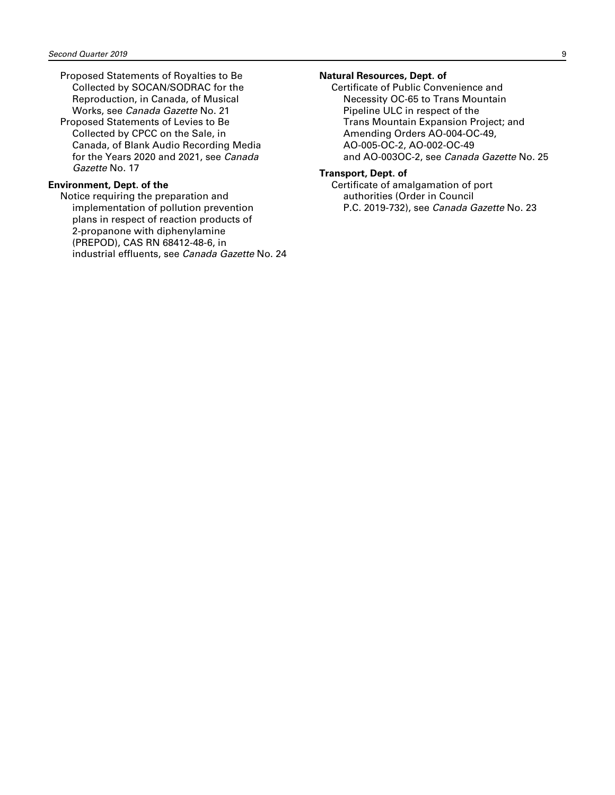- Proposed Statements of Royalties to Be Collected by SOCAN/SODRAC for the Reproduction, in Canada, of Musical Works, see *Canada Gazette* No. 21
- Proposed Statements of Levies to Be Collected by CPCC on the Sale, in Canada, of Blank Audio Recording Media for the Years 2020 and 2021, see *Canada Gazette* No. 17

#### **Environment, Dept. of the**

Notice requiring the preparation and implementation of pollution prevention plans in respect of reaction products of 2-propanone with diphenylamine (PREPOD), CAS RN 68412-48-6, in industrial effluents, see *Canada Gazette* No. 24

#### **Natural Resources, Dept. of**

Certificate of Public Convenience and Necessity OC-65 to Trans Mountain Pipeline ULC in respect of the Trans Mountain Expansion Project; and Amending Orders AO-004-OC-49, AO-005-OC-2, AO-002-OC-49 and AO-003OC-2, see *Canada Gazette* No. 25

#### **Transport, Dept. of**

Certificate of amalgamation of port authorities (Order in Council P.C. 2019-732), see *Canada Gazette* No. 23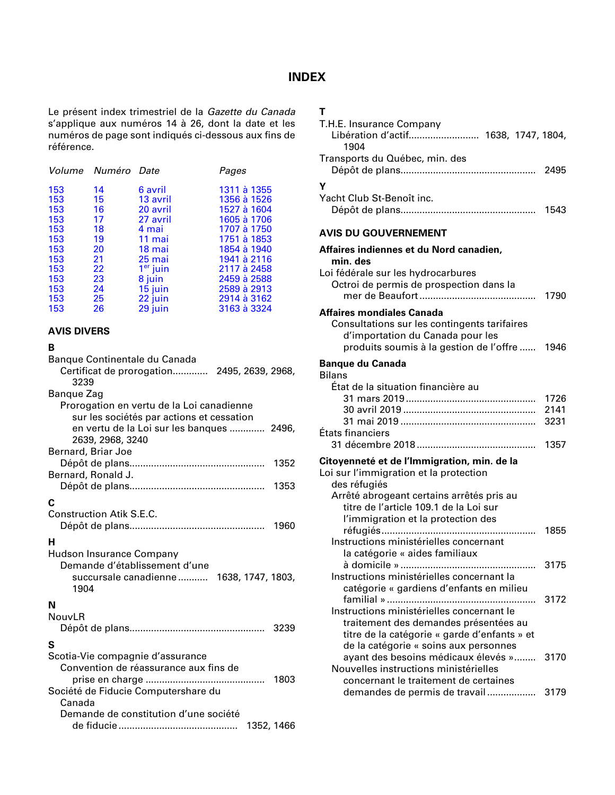## **INDEX**

<span id="page-11-0"></span>Le présent index trimestriel de la *Gazette du Canada* s'applique aux numéros 14 à 26, dont la date et les numéros de page sont indiqués ci-dessous aux fins de référence.

|    |                      | Pages              |
|----|----------------------|--------------------|
| 14 | 6 avril              | 1311 à 1355        |
| 15 | 13 avril             | 1356 à 1526        |
| 16 | 20 avril             | 1527 à 1604        |
| 17 | 27 avril             | 1605 à 1706        |
| 18 | 4 mai                | 1707 à 1750        |
| 19 | 11 mai               | 1751 à 1853        |
| 20 | 18 mai               | 1854 à 1940        |
| 21 | 25 mai               | 1941 à 2116        |
| 22 | 1 <sup>er</sup> juin | 2117 à 2458        |
| 23 | 8 juin               | 2459 à 2588        |
| 24 | 15 juin              | 2589 à 2913        |
| 25 | 22 juin              | 2914 à 3162        |
| 26 | 29 juin              | 3163 à 3324        |
|    |                      | Volume Numéro Date |

#### **AVIS DIVERS**

#### **B**

| Banque Continentale du Canada                             |
|-----------------------------------------------------------|
| Certificat de prorogation 2495, 2639, 2968,<br>3239       |
| Bangue Zag                                                |
| Prorogation en vertu de la Loi canadienne                 |
| sur les sociétés par actions et cessation                 |
| en vertu de la Loi sur les banques  2496,                 |
| 2639, 2968, 3240                                          |
| Bernard, Briar Joe                                        |
| 1352                                                      |
| Bernard, Ronald J.                                        |
| 1353                                                      |
| C                                                         |
| <b>Construction Atik S.E.C.</b>                           |
| 1960                                                      |
| н                                                         |
|                                                           |
| Hudson Insurance Company<br>Demande d'établissement d'une |
| succursale canadienne                                     |
| 1638, 1747, 1803,<br>1904                                 |
|                                                           |
| N                                                         |
| NouvLR                                                    |
| 3239                                                      |
| S                                                         |
| Scotia-Vie compagnie d'assurance                          |
| Convention de réassurance aux fins de                     |
| prise en charge<br>1803<br>.                              |
| Société de Fiducie Computershare du                       |
| Canada                                                    |
| Demande de constitution d'une société                     |
| 1352, 1466                                                |

# **T**

| T.H.E. Insurance Company<br>Libération d'actif 1638, 1747, 1804,<br>1904              |      |
|---------------------------------------------------------------------------------------|------|
| Transports du Québec, min. des                                                        | 2495 |
| Υ<br>Yacht Club St-Benoît inc.                                                        |      |
|                                                                                       | 1543 |
| <b>AVIS DU GOUVERNEMENT</b>                                                           |      |
| Affaires indiennes et du Nord canadien,<br>min. des                                   |      |
| Loi fédérale sur les hydrocarbures                                                    |      |
| Octroi de permis de prospection dans la                                               | 1790 |
| <b>Affaires mondiales Canada</b>                                                      |      |
| Consultations sur les contingents tarifaires                                          |      |
| d'importation du Canada pour les<br>produits soumis à la gestion de l'offre           | 1946 |
| <b>Banque du Canada</b><br><b>Bilans</b>                                              |      |
| État de la situation financière au                                                    |      |
|                                                                                       | 1726 |
|                                                                                       | 2141 |
| États financiers                                                                      | 3231 |
|                                                                                       | 1357 |
| Citoyenneté et de l'Immigration, min. de la                                           |      |
| Loi sur l'immigration et la protection                                                |      |
| des réfugiés                                                                          |      |
| Arrêté abrogeant certains arrêtés pris au<br>titre de l'article 109.1 de la Loi sur   |      |
| l'immigration et la protection des                                                    |      |
|                                                                                       | 1855 |
| Instructions ministérielles concernant                                                |      |
| la catégorie « aides familiaux                                                        |      |
| à domicile » ………<br>Instructions ministérielles concernant la                         | 3175 |
| catégorie « gardiens d'enfants en milieu                                              |      |
|                                                                                       | 3172 |
| Instructions ministérielles concernant le                                             |      |
| traitement des demandes présentées au                                                 |      |
| titre de la catégorie « garde d'enfants » et<br>de la catégorie « soins aux personnes |      |
| ayant des besoins médicaux élevés »                                                   | 3170 |
| Nouvelles instructions ministérielles                                                 |      |
| concernant le traitement de certaines                                                 |      |
| demandes de permis de travail                                                         | 3179 |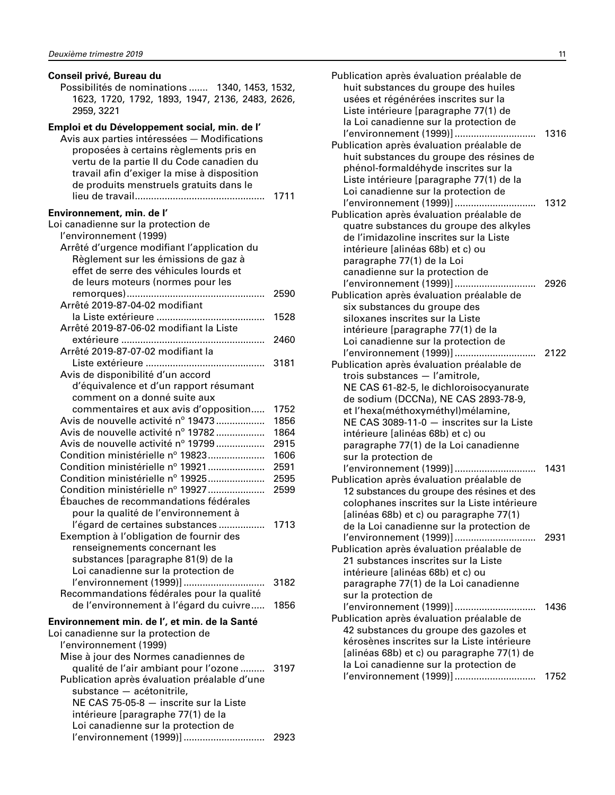| Conseil privé, Bureau du<br>Possibilités de nominations  1340, 1453, 1532,<br>1623, 1720, 1792, 1893, 1947, 2136, 2483, 2626,<br>2959, 3221                                                                                                                                                                                                                                                                                                                                                                                                                                                                                                                                                                  |                                                                              |
|--------------------------------------------------------------------------------------------------------------------------------------------------------------------------------------------------------------------------------------------------------------------------------------------------------------------------------------------------------------------------------------------------------------------------------------------------------------------------------------------------------------------------------------------------------------------------------------------------------------------------------------------------------------------------------------------------------------|------------------------------------------------------------------------------|
| Emploi et du Développement social, min. de l'<br>Avis aux parties intéressées - Modifications<br>proposées à certains règlements pris en<br>vertu de la partie II du Code canadien du<br>travail afin d'exiger la mise à disposition<br>de produits menstruels gratuits dans le                                                                                                                                                                                                                                                                                                                                                                                                                              | 1711                                                                         |
| Environnement, min. de l'<br>Loi canadienne sur la protection de<br>l'environnement (1999)<br>Arrêté d'urgence modifiant l'application du<br>Règlement sur les émissions de gaz à<br>effet de serre des véhicules lourds et<br>de leurs moteurs (normes pour les                                                                                                                                                                                                                                                                                                                                                                                                                                             |                                                                              |
| Arrêté 2019-87-04-02 modifiant                                                                                                                                                                                                                                                                                                                                                                                                                                                                                                                                                                                                                                                                               | 2590                                                                         |
| Arrêté 2019-87-06-02 modifiant la Liste                                                                                                                                                                                                                                                                                                                                                                                                                                                                                                                                                                                                                                                                      | 1528                                                                         |
| extérieure<br>.<br>Arrêté 2019-87-07-02 modifiant la                                                                                                                                                                                                                                                                                                                                                                                                                                                                                                                                                                                                                                                         | 2460                                                                         |
| Avis de disponibilité d'un accord<br>d'équivalence et d'un rapport résumant<br>comment on a donné suite aux                                                                                                                                                                                                                                                                                                                                                                                                                                                                                                                                                                                                  | 3181                                                                         |
| commentaires et aux avis d'opposition<br>Avis de nouvelle activité nº 19473<br>Avis de nouvelle activité nº 19782<br>Avis de nouvelle activité nº 19799<br>Condition ministérielle nº 19823<br>Condition ministérielle nº 19921<br>Condition ministérielle nº 19925<br>Condition ministérielle nº 19927<br>Ébauches de recommandations fédérales<br>pour la qualité de l'environnement à<br>l'égard de certaines substances  1713<br>Exemption à l'obligation de fournir des<br>renseignements concernant les<br>substances [paragraphe 81(9) de la<br>Loi canadienne sur la protection de<br>l'environnement (1999)]<br>Recommandations fédérales pour la qualité<br>de l'environnement à l'égard du cuivre | 1752<br>1856<br>1864<br>2915<br>1606<br>2591<br>2595<br>2599<br>3182<br>1856 |
| Environnement min. de l', et min. de la Santé<br>Loi canadienne sur la protection de<br>l'environnement (1999)<br>Mise à jour des Normes canadiennes de<br>qualité de l'air ambiant pour l'ozone  3197<br>Publication après évaluation préalable d'une<br>substance - acétonitrile,<br>NE CAS 75-05-8 - inscrite sur la Liste<br>intérieure [paragraphe 77(1) de la<br>Loi canadienne sur la protection de                                                                                                                                                                                                                                                                                                   |                                                                              |

l'environnement (1999)].............................. 2923

| Publication après évaluation préalable de<br>huit substances du groupe des huiles<br>usées et régénérées inscrites sur la<br>Liste intérieure [paragraphe 77(1) de<br>la Loi canadienne sur la protection de                                                                                                                                                                      |      |
|-----------------------------------------------------------------------------------------------------------------------------------------------------------------------------------------------------------------------------------------------------------------------------------------------------------------------------------------------------------------------------------|------|
| l'environnement (1999)]<br>Publication après évaluation préalable de<br>huit substances du groupe des résines de<br>phénol-formaldéhyde inscrites sur la<br>Liste intérieure [paragraphe 77(1) de la<br>Loi canadienne sur la protection de                                                                                                                                       | 1316 |
| l'environnement (1999)]<br>.<br>Publication après évaluation préalable de<br>quatre substances du groupe des alkyles<br>de l'imidazoline inscrites sur la Liste<br>intérieure [alinéas 68b) et c) ou<br>paragraphe 77(1) de la Loi<br>canadienne sur la protection de                                                                                                             | 1312 |
| l'environnement (1999)]<br>Publication après évaluation préalable de<br>six substances du groupe des<br>siloxanes inscrites sur la Liste<br>intérieure [paragraphe 77(1) de la<br>Loi canadienne sur la protection de                                                                                                                                                             | 2926 |
| l'environnement (1999)]<br>Publication après évaluation préalable de<br>trois substances - l'amitrole,<br>NE CAS 61-82-5, le dichloroisocyanurate<br>de sodium (DCCNa), NE CAS 2893-78-9,<br>et l'hexa(méthoxyméthyl)mélamine,<br>NE CAS 3089-11-0 - inscrites sur la Liste<br>intérieure [alinéas 68b) et c) ou<br>paragraphe 77(1) de la Loi canadienne<br>sur la protection de | 2122 |
| l'environnement (1999)]<br>.<br>Publication après évaluation préalable de<br>12 substances du groupe des résines et des<br>colophanes inscrites sur la Liste intérieure<br>[alinéas 68b) et c) ou paragraphe 77(1)<br>de la Loi canadienne sur la protection de                                                                                                                   | 1431 |
| l'environnement (1999)]<br>Publication après évaluation préalable de<br>21 substances inscrites sur la Liste<br>intérieure [alinéas 68b) et c) ou<br>paragraphe 77(1) de la Loi canadienne<br>sur la protection de                                                                                                                                                                | 2931 |
| l'environnement (1999)]<br>Publication après évaluation préalable de<br>42 substances du groupe des gazoles et<br>kérosènes inscrites sur la Liste intérieure<br>[alinéas 68b) et c) ou paragraphe 77(1) de<br>la Loi canadienne sur la protection de                                                                                                                             | 1436 |
| l'environnement (1999)]                                                                                                                                                                                                                                                                                                                                                           | 1752 |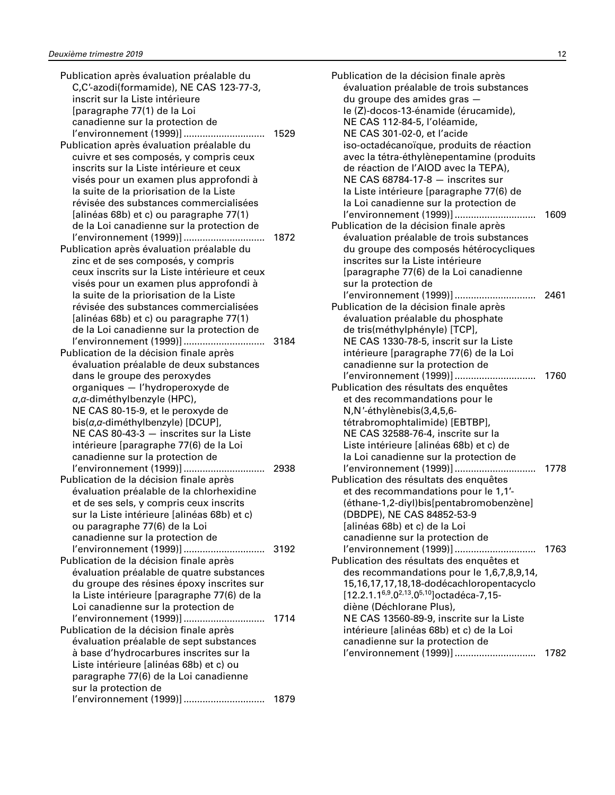| Publication après évaluation préalable du                                          |      |
|------------------------------------------------------------------------------------|------|
| C,C'-azodi(formamide), NE CAS 123-77-3,                                            |      |
| inscrit sur la Liste intérieure                                                    |      |
| [paragraphe 77(1) de la Loi                                                        |      |
| canadienne sur la protection de                                                    |      |
| l'environnement (1999)]                                                            | 1529 |
| Publication après évaluation préalable du                                          |      |
| cuivre et ses composés, y compris ceux                                             |      |
| inscrits sur la Liste intérieure et ceux                                           |      |
| visés pour un examen plus approfondi à                                             |      |
| la suite de la priorisation de la Liste                                            |      |
| révisée des substances commercialisées                                             |      |
| [alinéas 68b) et c) ou paragraphe 77(1)                                            |      |
| de la Loi canadienne sur la protection de                                          |      |
| l'environnement (1999)]                                                            | 1872 |
|                                                                                    |      |
| Publication après évaluation préalable du                                          |      |
| zinc et de ses composés, y compris                                                 |      |
| ceux inscrits sur la Liste intérieure et ceux                                      |      |
| visés pour un examen plus approfondi à                                             |      |
| la suite de la priorisation de la Liste                                            |      |
| révisée des substances commercialisées                                             |      |
| [alinéas 68b) et c) ou paragraphe 77(1)                                            |      |
| de la Loi canadienne sur la protection de                                          |      |
| l'environnement (1999)]                                                            | 3184 |
| Publication de la décision finale après                                            |      |
| évaluation préalable de deux substances                                            |      |
| dans le groupe des peroxydes                                                       |      |
| organiques - l'hydroperoxyde de                                                    |      |
| a, a-diméthylbenzyle (HPC),                                                        |      |
| NE CAS 80-15-9, et le peroxyde de                                                  |      |
| bis(a,a-diméthylbenzyle) [DCUP],                                                   |      |
| NE CAS 80-43-3 - inscrites sur la Liste                                            |      |
| intérieure [paragraphe 77(6) de la Loi                                             |      |
| canadienne sur la protection de                                                    |      |
| l'environnement (1999)]                                                            | 2938 |
| Publication de la décision finale après                                            |      |
| évaluation préalable de la chlorhexidine                                           |      |
| et de ses sels, y compris ceux inscrits                                            |      |
| sur la Liste intérieure [alinéas 68b) et c)                                        |      |
| ou paragraphe 77(6) de la Loi                                                      |      |
| canadienne sur la protection de                                                    |      |
|                                                                                    |      |
| l'environnement (1999)]                                                            | 3192 |
| Publication de la décision finale après                                            |      |
| évaluation préalable de quatre substances                                          |      |
| du groupe des résines époxy inscrites sur                                          |      |
| la Liste intérieure [paragraphe 77(6) de la                                        |      |
| Loi canadienne sur la protection de                                                |      |
| l'environnement (1999)]                                                            | 1714 |
|                                                                                    |      |
| Publication de la décision finale après<br>évaluation préalable de sept substances |      |
| à base d'hydrocarbures inscrites sur la                                            |      |
| Liste intérieure [alinéas 68b) et c) ou                                            |      |
| paragraphe 77(6) de la Loi canadienne                                              |      |
| sur la protection de                                                               |      |
| l'environnement (1999)]                                                            | 1879 |

| Publication de la décision finale après<br>évaluation préalable de trois substances<br>du groupe des amides gras -<br>le (Z)-docos-13-énamide (érucamide),                                                     |      |
|----------------------------------------------------------------------------------------------------------------------------------------------------------------------------------------------------------------|------|
| NE CAS 112-84-5, l'oléamide,<br>NE CAS 301-02-0, et l'acide                                                                                                                                                    |      |
| iso-octadécanoïque, produits de réaction<br>avec la tétra-éthylènepentamine (produits<br>de réaction de l'AIOD avec la TEPA),<br>NE CAS 68784-17-8 - inscrites sur<br>la Liste intérieure [paragraphe 77(6) de |      |
| la Loi canadienne sur la protection de                                                                                                                                                                         |      |
| l'environnement (1999)]<br>Publication de la décision finale après<br>évaluation préalable de trois substances<br>du groupe des composés hétérocycliques<br>inscrites sur la Liste intérieure                  | 1609 |
| [paragraphe 77(6) de la Loi canadienne                                                                                                                                                                         |      |
| sur la protection de                                                                                                                                                                                           |      |
| l'environnement (1999)]                                                                                                                                                                                        | 2461 |
| Publication de la décision finale après<br>évaluation préalable du phosphate                                                                                                                                   |      |
| de tris(méthylphényle) [TCP],                                                                                                                                                                                  |      |
| NE CAS 1330-78-5, inscrit sur la Liste                                                                                                                                                                         |      |
| intérieure [paragraphe 77(6) de la Loi                                                                                                                                                                         |      |
| canadienne sur la protection de                                                                                                                                                                                |      |
| l'environnement (1999)]                                                                                                                                                                                        | 1760 |
| Publication des résultats des enquêtes                                                                                                                                                                         |      |
| et des recommandations pour le                                                                                                                                                                                 |      |
| N,N'-éthylènebis(3,4,5,6-                                                                                                                                                                                      |      |
| tétrabromophtalimide) [EBTBP],<br>NE CAS 32588-76-4, inscrite sur la                                                                                                                                           |      |
| Liste intérieure [alinéas 68b) et c) de                                                                                                                                                                        |      |
| la Loi canadienne sur la protection de                                                                                                                                                                         |      |
| l'environnement (1999)]<br>.                                                                                                                                                                                   | 1778 |
| Publication des résultats des enquêtes                                                                                                                                                                         |      |
| et des recommandations pour le 1,1'-                                                                                                                                                                           |      |
| (éthane-1,2-diyl)bis[pentabromobenzène]                                                                                                                                                                        |      |
| (DBDPE), NE CAS 84852-53-9                                                                                                                                                                                     |      |
| [alinéas 68b) et c) de la Loi                                                                                                                                                                                  |      |
| canadienne sur la protection de                                                                                                                                                                                |      |
| l'environnement (1999)]                                                                                                                                                                                        | 1763 |
| Publication des résultats des enquêtes et<br>des recommandations pour le 1,6,7,8,9,14,                                                                                                                         |      |
| 15,16,17,17,18,18-dodécachloropentacyclo                                                                                                                                                                       |      |
| [12.2.1.1 <sup>6,9</sup> .0 <sup>2,13</sup> .0 <sup>5,10</sup> ] octadéca-7,15-                                                                                                                                |      |
| diène (Déchlorane Plus),                                                                                                                                                                                       |      |
| NE CAS 13560-89-9, inscrite sur la Liste                                                                                                                                                                       |      |
| intérieure [alinéas 68b) et c) de la Loi                                                                                                                                                                       |      |
| canadienne sur la protection de                                                                                                                                                                                |      |
| l'environnement (1999)]                                                                                                                                                                                        | 1782 |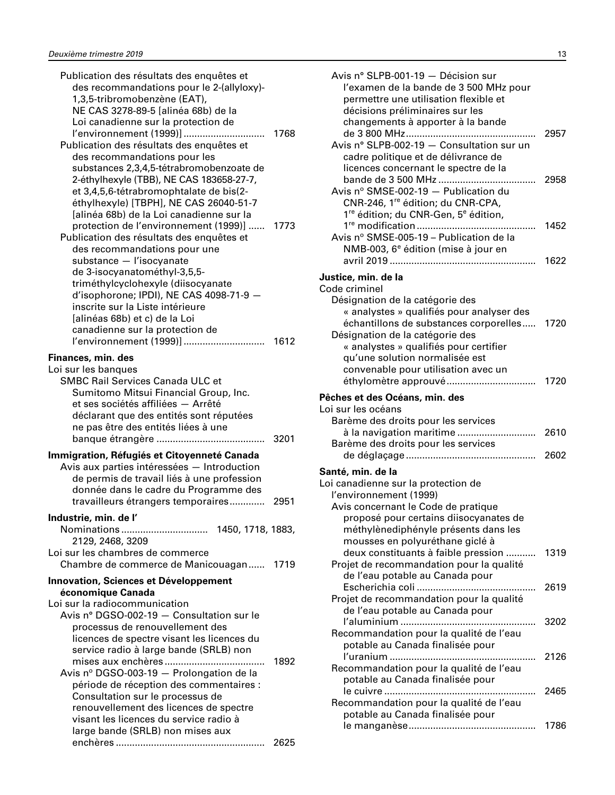| Publication des résultats des enquêtes et<br>des recommandations pour le 2-(allyloxy)-<br>1,3,5-tribromobenzène (EAT),<br>NE CAS 3278-89-5 [alinéa 68b) de la<br>Loi canadienne sur la protection de<br>l'environnement (1999)]<br>Publication des résultats des enquêtes et<br>des recommandations pour les<br>substances 2,3,4,5-tétrabromobenzoate de<br>2-éthylhexyle (TBB), NE CAS 183658-27-7,<br>et 3,4,5,6-tétrabromophtalate de bis(2-<br>éthylhexyle) [TBPH], NE CAS 26040-51-7 | 1768         |
|-------------------------------------------------------------------------------------------------------------------------------------------------------------------------------------------------------------------------------------------------------------------------------------------------------------------------------------------------------------------------------------------------------------------------------------------------------------------------------------------|--------------|
| [alinéa 68b) de la Loi canadienne sur la<br>protection de l'environnement (1999)]<br>Publication des résultats des enquêtes et<br>des recommandations pour une<br>substance - l'isocyanate<br>de 3-isocyanatométhyl-3,5,5-<br>triméthylcyclohexyle (diisocyanate<br>d'isophorone; IPDI), NE CAS 4098-71-9 -<br>inscrite sur la Liste intérieure<br>[alinéas 68b) et c) de la Loi<br>canadienne sur la protection de                                                                       | 1773         |
| l'environnement (1999)]<br>Finances, min. des<br>Loi sur les banques<br><b>SMBC Rail Services Canada ULC et</b><br>Sumitomo Mitsui Financial Group, Inc.<br>et ses sociétés affiliées - Arrêté<br>déclarant que des entités sont réputées<br>ne pas être des entités liées à une                                                                                                                                                                                                          | 1612<br>3201 |
| Immigration, Réfugiés et Citoyenneté Canada<br>Avis aux parties intéressées - Introduction<br>de permis de travail liés à une profession<br>donnée dans le cadre du Programme des<br>travailleurs étrangers temporaires                                                                                                                                                                                                                                                                   | 2951         |
| Industrie, min. de l'<br>2129, 2468, 3209                                                                                                                                                                                                                                                                                                                                                                                                                                                 |              |
| Loi sur les chambres de commerce<br>Chambre de commerce de Manicouagan 1719<br>Innovation, Sciences et Développement                                                                                                                                                                                                                                                                                                                                                                      |              |
| économique Canada                                                                                                                                                                                                                                                                                                                                                                                                                                                                         |              |
| Loi sur la radiocommunication<br>Avis n° DGSO-002-19 - Consultation sur le<br>processus de renouvellement des<br>licences de spectre visant les licences du<br>service radio à large bande (SRLB) non<br>Avis nº DGSO-003-19 - Prolongation de la<br>période de réception des commentaires :<br>Consultation sur le processus de<br>renouvellement des licences de spectre<br>visant les licences du service radio à<br>large bande (SRLB) non mises aux                                  | 1892         |
|                                                                                                                                                                                                                                                                                                                                                                                                                                                                                           | 2625         |

| Avis n° SLPB-001-19 - Décision sur<br>l'examen de la bande de 3 500 MHz pour<br>permettre une utilisation flexible et<br>décisions préliminaires sur les                                            |              |
|-----------------------------------------------------------------------------------------------------------------------------------------------------------------------------------------------------|--------------|
| changements à apporter à la bande<br>Avis n° SLPB-002-19 - Consultation sur un<br>cadre politique et de délivrance de<br>licences concernant le spectre de la                                       | 2957         |
| Avis nº SMSE-002-19 - Publication du<br>CNR-246, 1 <sup>re</sup> édition; du CNR-CPA,<br>1 <sup>re</sup> édition; du CNR-Gen, 5 <sup>e</sup> édition,                                               | 2958         |
| Avis nº SMSE-005-19 - Publication de la<br>NMB-003, 6 <sup>e</sup> édition (mise à jour en                                                                                                          | 1452<br>1622 |
| Justice, min. de la                                                                                                                                                                                 |              |
| Code criminel                                                                                                                                                                                       |              |
| Désignation de la catégorie des<br>« analystes » qualifiés pour analyser des<br>échantillons de substances corporelles<br>Désignation de la catégorie des<br>« analystes » qualifiés pour certifier | 1720         |
| qu'une solution normalisée est<br>convenable pour utilisation avec un                                                                                                                               | 1720         |
|                                                                                                                                                                                                     |              |
| Pêches et des Océans, min. des<br>Loi sur les océans                                                                                                                                                |              |
| Barème des droits pour les services                                                                                                                                                                 |              |
| à la navigation maritime                                                                                                                                                                            | 2610         |
| Barème des droits pour les services                                                                                                                                                                 | 2602         |
| Santé, min. de la                                                                                                                                                                                   |              |
| Loi canadienne sur la protection de<br>l'environnement (1999)                                                                                                                                       |              |
| Avis concernant le Code de pratique<br>proposé pour certains diisocyanates de<br>méthylènediphényle présents dans les                                                                               |              |
| mousses en polyuréthane giclé à<br>deux constituants à faible pression<br>Projet de recommandation pour la qualité                                                                                  | 1319         |
| de l'eau potable au Canada pour<br>Projet de recommandation pour la qualité                                                                                                                         | 2619         |
| de l'eau potable au Canada pour                                                                                                                                                                     | 3202         |
| Recommandation pour la qualité de l'eau<br>potable au Canada finalisée pour                                                                                                                         |              |
| Recommandation pour la qualité de l'eau                                                                                                                                                             | 2126         |
| potable au Canada finalisée pour<br>Recommandation pour la qualité de l'eau                                                                                                                         | 2465         |
| potable au Canada finalisée pour                                                                                                                                                                    |              |
|                                                                                                                                                                                                     | 1786         |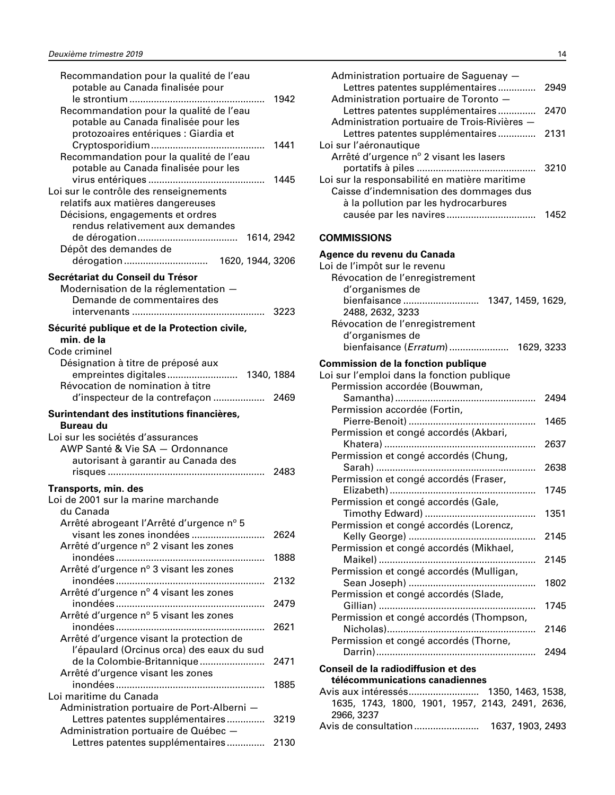<span id="page-15-0"></span>

| Recommandation pour la qualité de l'eau                                  |      |
|--------------------------------------------------------------------------|------|
| potable au Canada finalisée pour                                         |      |
|                                                                          | 1942 |
| Recommandation pour la qualité de l'eau                                  |      |
| potable au Canada finalisée pour les                                     |      |
| protozoaires entériques : Giardia et                                     |      |
|                                                                          | 1441 |
| Recommandation pour la qualité de l'eau                                  |      |
| potable au Canada finalisée pour les                                     |      |
|                                                                          | 1445 |
| Loi sur le contrôle des renseignements                                   |      |
|                                                                          |      |
| relatifs aux matières dangereuses                                        |      |
| Décisions, engagements et ordres                                         |      |
| rendus relativement aux demandes                                         |      |
| 1614, 2942                                                               |      |
| Dépôt des demandes de                                                    |      |
|                                                                          |      |
| Secrétariat du Conseil du Trésor                                         |      |
| Modernisation de la réglementation -                                     |      |
| Demande de commentaires des                                              |      |
|                                                                          |      |
|                                                                          | 3223 |
| Sécurité publique et de la Protection civile,                            |      |
| min. de la                                                               |      |
| Code criminel                                                            |      |
| Désignation à titre de préposé aux                                       |      |
|                                                                          |      |
| Révocation de nomination à titre                                         |      |
| d'inspecteur de la contrefaçon                                           | 2469 |
|                                                                          |      |
|                                                                          |      |
| Surintendant des institutions financières,                               |      |
| <b>Bureau du</b>                                                         |      |
| Loi sur les sociétés d'assurances                                        |      |
| AWP Santé & Vie SA - Ordonnance                                          |      |
| autorisant à garantir au Canada des                                      |      |
|                                                                          | 2483 |
|                                                                          |      |
| Transports, min. des                                                     |      |
| Loi de 2001 sur la marine marchande                                      |      |
| du Canada                                                                |      |
| Arrêté abrogeant l'Arrêté d'urgence nº 5                                 |      |
| visant les zones inondées                                                | 2624 |
| Arrêté d'urgence nº 2 visant les zones                                   |      |
|                                                                          | 1888 |
|                                                                          |      |
| Arrêté d'urgence nº 3 visant les zones                                   | 2132 |
|                                                                          |      |
| Arrêté d'urgence nº 4 visant les zones                                   |      |
|                                                                          | 2479 |
| Arrêté d'urgence nº 5 visant les zones                                   |      |
|                                                                          | 2621 |
| Arrêté d'urgence visant la protection de                                 |      |
| l'épaulard (Orcinus orca) des eaux du sud                                |      |
| de la Colombie-Britannique                                               | 2471 |
| Arrêté d'urgence visant les zones                                        |      |
|                                                                          | 1885 |
| Loi maritime du Canada                                                   |      |
| Administration portuaire de Port-Alberni -                               |      |
| Lettres patentes supplémentaires                                         | 3219 |
| Administration portuaire de Québec -<br>Lettres patentes supplémentaires | 2130 |

| Lettres patentes supplémentaires                | 2949 |
|-------------------------------------------------|------|
| Administration portuaire de Toronto -           |      |
| Lettres patentes supplémentaires                | 2470 |
| Administration portuaire de Trois-Rivières -    |      |
| Lettres patentes supplémentaires                | 2131 |
| Loi sur l'aéronautique                          |      |
| Arrêté d'urgence nº 2 visant les lasers         | 3210 |
| Loi sur la responsabilité en matière maritime   |      |
| Caisse d'indemnisation des dommages dus         |      |
| à la pollution par les hydrocarbures            |      |
|                                                 | 1452 |
|                                                 |      |
| <b>COMMISSIONS</b>                              |      |
| Agence du revenu du Canada                      |      |
| Loi de l'impôt sur le revenu                    |      |
| Révocation de l'enregistrement                  |      |
| d'organismes de                                 |      |
| bienfaisance<br>1347, 1459, 1629,               |      |
| 2488, 2632, 3233                                |      |
| Révocation de l'enregistrement                  |      |
| d'organismes de                                 |      |
| bienfaisance (Erratum)  1629, 3233              |      |
| <b>Commission de la fonction publique</b>       |      |
| Loi sur l'emploi dans la fonction publique      |      |
| Permission accordée (Bouwman,                   |      |
|                                                 | 2494 |
| Permission accordée (Fortin,                    |      |
|                                                 | 1465 |
| Permission et congé accordés (Akbari,           |      |
|                                                 | 2637 |
| Permission et congé accordés (Chung,            | 2638 |
| Permission et congé accordés (Fraser,           |      |
|                                                 | 1745 |
| Permission et congé accordés (Gale,             |      |
|                                                 | 1351 |
| Permission et congé accordés (Lorencz,          |      |
|                                                 | 2145 |
| Permission et congé accordés (Mikhael,          |      |
|                                                 | 2145 |
| Permission et congé accordés (Mulligan,         |      |
|                                                 | 1802 |
| Permission et congé accordés (Slade,            |      |
|                                                 | 1745 |
| Permission et congé accordés (Thompson,         |      |
|                                                 | 2146 |
| Permission et congé accordés (Thorne,           |      |
|                                                 |      |
| Conseil de la radiodiffusion et des             |      |
| télécommunications canadiennes                  |      |
| Avis aux intéressés 1350, 1463, 1538,           |      |
| 1635, 1743, 1800, 1901, 1957, 2143, 2491, 2636, |      |
| 2966, 3237                                      |      |
| Avis de consultation<br>1637, 1903, 2493        |      |

Administration portuaire de Saguenay —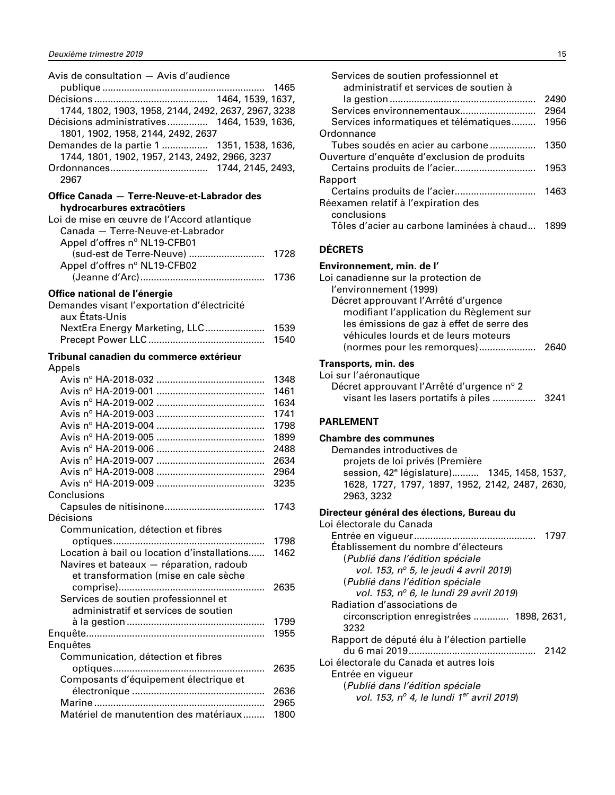<span id="page-16-0"></span>

| Avis de consultation - Avis d'audience               |      |
|------------------------------------------------------|------|
|                                                      | 1465 |
|                                                      |      |
| 1744, 1802, 1903, 1958, 2144, 2492, 2637, 2967, 3238 |      |
| Décisions administratives 1464, 1539, 1636,          |      |
| 1801, 1902, 1958, 2144, 2492, 2637                   |      |
| Demandes de la partie 1  1351, 1538, 1636,           |      |
| 1744, 1801, 1902, 1957, 2143, 2492, 2966, 3237       |      |
|                                                      |      |
| 2967                                                 |      |
|                                                      |      |
| Office Canada - Terre-Neuve-et-Labrador des          |      |
| hydrocarbures extracôtiers                           |      |
| Loi de mise en œuvre de l'Accord atlantique          |      |
| Canada - Terre-Neuve-et-Labrador                     |      |
| Appel d'offres nº NL19-CFB01                         |      |
| (sud-est de Terre-Neuve)                             | 1728 |
| Appel d'offres nº NL19-CFB02                         |      |
|                                                      | 1736 |
| Office national de l'énergie                         |      |
| Demandes visant l'exportation d'électricité          |      |
| aux États-Unis                                       |      |
| NextEra Energy Marketing, LLC                        | 1539 |
|                                                      | 1540 |
|                                                      |      |
| Tribunal canadien du commerce extérieur              |      |
| Appels                                               |      |
|                                                      | 1348 |
|                                                      | 1461 |
|                                                      | 1634 |
|                                                      | 1741 |
|                                                      | 1798 |
|                                                      | 1899 |
|                                                      | 2488 |
|                                                      | 2634 |
|                                                      | 2964 |
|                                                      | 3235 |
| Conclusions                                          |      |
|                                                      | 1743 |
| Décisions                                            |      |
| Communication, détection et fibres                   |      |
|                                                      | 1798 |
| Location à bail ou location d'installations          | 1462 |
| Navires et bateaux - réparation, radoub              |      |
| et transformation (mise en cale sèche                |      |
|                                                      | 2635 |
| Services de soutien professionnel et                 |      |
| administratif et services de soutien                 |      |
|                                                      | 1799 |
|                                                      | 1955 |
| Enquêtes                                             |      |
| Communication, détection et fibres                   |      |
|                                                      | 2635 |
| Composants d'équipement électrique et                |      |
|                                                      | 2636 |
|                                                      | 2965 |
| Matériel de manutention des matériaux                | 1800 |

| Services de soutien professionnel et        |      |
|---------------------------------------------|------|
| administratif et services de soutien à      | 2490 |
| Services environnementaux                   | 2964 |
| Services informatiques et télématiques      | 1956 |
| Ordonnance                                  |      |
| Tubes soudés en acier au carbone            | 1350 |
| Ouverture d'enquête d'exclusion de produits |      |
|                                             | 1953 |
| Rapport                                     |      |
|                                             | 1463 |
| Réexamen relatif à l'expiration des         |      |
| conclusions                                 |      |
| Tôles d'acier au carbone laminées à chaud   | 1899 |
|                                             |      |

#### **DÉCRETS**

#### **Environnement, min. de l'** Loi canadienne sur la protection de l'environnement (1999) Décret approuvant l'Arrêté d'urgence modifiant l'application du Règlement sur les émissions de gaz à effet de serre des véhicules lourds et de leurs moteurs (normes pour les remorques)..................... 2640

#### **Transports, min. des**

| Loi sur l'aéronautique                    |  |
|-------------------------------------------|--|
| Décret approuvant l'Arrêté d'urgence n° 2 |  |
|                                           |  |

#### **PARLEMENT**

#### **Chambre des communes**

Demandes introductives de projets de loi privés (Première session, 42e législature).......... 1345, 1458, 1537, 1628, 1727, 1797, 1897, 1952, 2142, 2487, 2630, 2963, 3232

#### **Directeur général des élections, Bureau du**

| Loi électorale du Canada                             |      |
|------------------------------------------------------|------|
|                                                      | 1797 |
| Établissement du nombre d'électeurs                  |      |
| (Publié dans l'édition spéciale                      |      |
| vol. 153, nº 5, le jeudi 4 avril 2019)               |      |
| (Publié dans l'édition spéciale                      |      |
| vol. 153, nº 6, le lundi 29 avril 2019)              |      |
| Radiation d'associations de                          |      |
| circonscription enregistrées  1898, 2631,            |      |
| 3232                                                 |      |
| Rapport de député élu à l'élection partielle         |      |
|                                                      | 2142 |
| Loi électorale du Canada et autres lois              |      |
| Entrée en vigueur                                    |      |
| (Publié dans l'édition spéciale                      |      |
| vol. 153, nº 4, le lundi 1 <sup>er</sup> avril 2019) |      |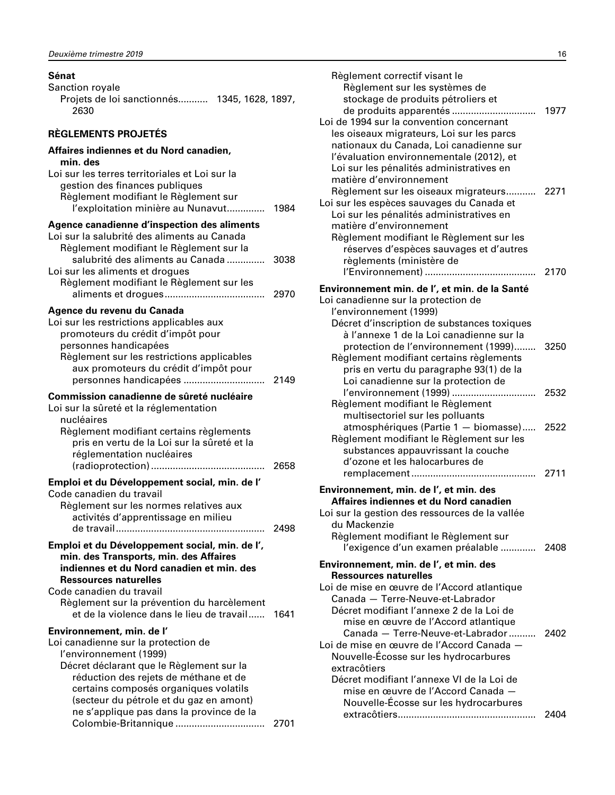#### <span id="page-17-0"></span>**Sénat**

| <b>Sanction royale</b>                       |  |
|----------------------------------------------|--|
| Projets de loi sanctionnés 1345, 1628, 1897, |  |
| 2630                                         |  |

#### **RÈGLEMENTS PROJETÉS**

| Affaires indiennes et du Nord canadien,<br>min. des                                                                                                                                                                                                                                          |              |
|----------------------------------------------------------------------------------------------------------------------------------------------------------------------------------------------------------------------------------------------------------------------------------------------|--------------|
| Loi sur les terres territoriales et Loi sur la<br>gestion des finances publiques<br>Règlement modifiant le Règlement sur<br>l'exploitation minière au Nunavut                                                                                                                                | 1984         |
| Agence canadienne d'inspection des aliments<br>Loi sur la salubrité des aliments au Canada<br>Règlement modifiant le Règlement sur la                                                                                                                                                        |              |
| salubrité des aliments au Canada<br>Loi sur les aliments et drogues<br>Règlement modifiant le Règlement sur les                                                                                                                                                                              | 3038<br>2970 |
| Agence du revenu du Canada<br>Loi sur les restrictions applicables aux<br>promoteurs du crédit d'impôt pour<br>personnes handicapées<br>Règlement sur les restrictions applicables<br>aux promoteurs du crédit d'impôt pour                                                                  |              |
| Commission canadienne de sûreté nucléaire<br>Loi sur la sûreté et la réglementation<br>nucléaires                                                                                                                                                                                            |              |
| Règlement modifiant certains règlements<br>pris en vertu de la Loi sur la sûreté et la<br>réglementation nucléaires                                                                                                                                                                          | 2658         |
| Emploi et du Développement social, min. de l'<br>Code canadien du travail<br>Règlement sur les normes relatives aux<br>activités d'apprentissage en milieu                                                                                                                                   | 2498         |
| Emploi et du Développement social, min. de l',<br>min. des Transports, min. des Affaires<br>indiennes et du Nord canadien et min. des<br><b>Ressources naturelles</b><br>Code canadien du travail<br>Règlement sur la prévention du harcèlement<br>et de la violence dans le lieu de travail | 1641         |
| Environnement, min. de l'<br>Loi canadienne sur la protection de<br>l'environnement (1999)                                                                                                                                                                                                   |              |
| Décret déclarant que le Règlement sur la<br>réduction des rejets de méthane et de<br>certains composés organiques volatils<br>(secteur du pétrole et du gaz en amont)<br>ne s'applique pas dans la province de la<br>Colombie-Britannique                                                    | 2701         |

| Règlement correctif visant le<br>Règlement sur les systèmes de<br>stockage de produits pétroliers et<br>Loi de 1994 sur la convention concernant<br>les oiseaux migrateurs, Loi sur les parcs<br>nationaux du Canada, Loi canadienne sur<br>l'évaluation environnementale (2012), et | 1977         |
|--------------------------------------------------------------------------------------------------------------------------------------------------------------------------------------------------------------------------------------------------------------------------------------|--------------|
| Loi sur les pénalités administratives en<br>matière d'environnement<br>Règlement sur les oiseaux migrateurs 2271<br>Loi sur les espèces sauvages du Canada et<br>Loi sur les pénalités administratives en<br>matière d'environnement<br>Règlement modifiant le Règlement sur les     |              |
| réserves d'espèces sauvages et d'autres<br>règlements (ministère de                                                                                                                                                                                                                  | 2170         |
| Environnement min. de l', et min. de la Santé                                                                                                                                                                                                                                        |              |
| Loi canadienne sur la protection de                                                                                                                                                                                                                                                  |              |
| l'environnement (1999)<br>Décret d'inscription de substances toxiques<br>à l'annexe 1 de la Loi canadienne sur la<br>protection de l'environnement (1999)<br>Règlement modifiant certains règlements<br>pris en vertu du paragraphe 93(1) de la                                      | 3250         |
| Loi canadienne sur la protection de<br>l'environnement (1999)<br>Règlement modifiant le Règlement                                                                                                                                                                                    | 2532         |
| multisectoriel sur les polluants<br>atmosphériques (Partie 1 - biomasse)<br>Règlement modifiant le Règlement sur les<br>substances appauvrissant la couche<br>d'ozone et les halocarbures de                                                                                         | 2522<br>2711 |
|                                                                                                                                                                                                                                                                                      |              |
| Environnement, min. de l', et min. des<br>Affaires indiennes et du Nord canadien<br>Loi sur la gestion des ressources de la vallée<br>du Mackenzie<br>Règlement modifiant le Règlement sur<br>l'exigence d'un examen préalable  2408                                                 |              |
| Environnement, min. de l', et min. des                                                                                                                                                                                                                                               |              |
| <b>Ressources naturelles</b><br>Loi de mise en œuvre de l'Accord atlantique                                                                                                                                                                                                          |              |
| Canada - Terre-Neuve-et-Labrador<br>Décret modifiant l'annexe 2 de la Loi de<br>mise en œuvre de l'Accord atlantique<br>Canada - Terre-Neuve-et-Labrador<br>Loi de mise en œuvre de l'Accord Canada —<br>Nouvelle-Écosse sur les hydrocarbures                                       | 2402         |
| extracôtiers                                                                                                                                                                                                                                                                         |              |
| Décret modifiant l'annexe VI de la Loi de<br>mise en œuvre de l'Accord Canada -<br>Nouvelle-Écosse sur les hydrocarbures                                                                                                                                                             |              |
|                                                                                                                                                                                                                                                                                      | 2404         |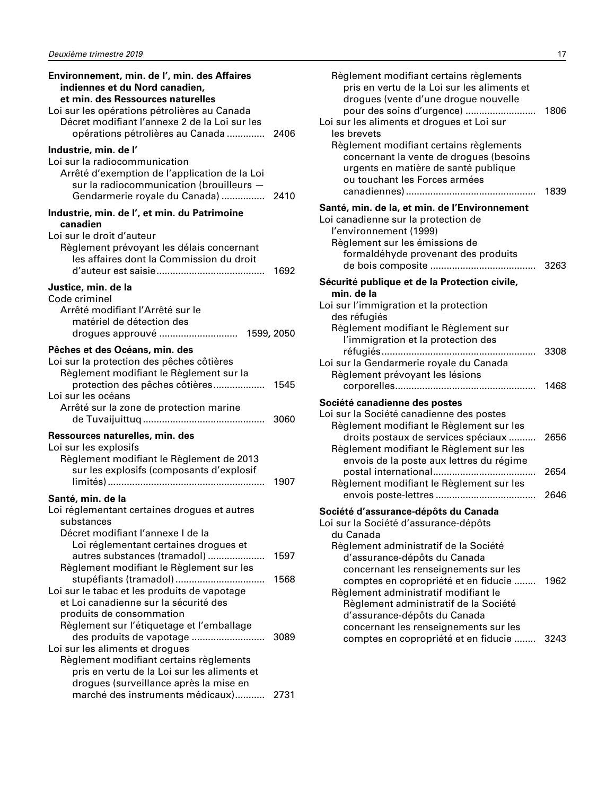| Environnement, min. de l', min. des Affaires<br>indiennes et du Nord canadien,<br>et min. des Ressources naturelles<br>Loi sur les opérations pétrolières au Canada<br>Décret modifiant l'annexe 2 de la Loi sur les                         |      |
|----------------------------------------------------------------------------------------------------------------------------------------------------------------------------------------------------------------------------------------------|------|
| opérations pétrolières au Canada  2406                                                                                                                                                                                                       |      |
| Industrie, min. de l'<br>Loi sur la radiocommunication<br>Arrêté d'exemption de l'application de la Loi<br>sur la radiocommunication (brouilleurs -<br>Gendarmerie royale du Canada)  2410                                                   |      |
| Industrie, min. de l', et min. du Patrimoine<br>canadien                                                                                                                                                                                     |      |
| Loi sur le droit d'auteur<br>Règlement prévoyant les délais concernant<br>les affaires dont la Commission du droit                                                                                                                           | 1692 |
| Justice, min. de la<br>Code criminel<br>Arrêté modifiant l'Arrêté sur le<br>matériel de détection des                                                                                                                                        |      |
| Pêches et des Océans, min. des                                                                                                                                                                                                               |      |
| Loi sur la protection des pêches côtières<br>Règlement modifiant le Règlement sur la<br>protection des pêches côtières<br>Loi sur les océans                                                                                                 | 1545 |
| Arrêté sur la zone de protection marine                                                                                                                                                                                                      | 3060 |
| Ressources naturelles, min. des<br>Loi sur les explosifs<br>Règlement modifiant le Règlement de 2013<br>sur les explosifs (composants d'explosif                                                                                             | 1907 |
| Santé, min. de la<br>Loi réglementant certaines drogues et autres<br>substances<br>Décret modifiant l'annexe I de la                                                                                                                         |      |
| Loi réglementant certaines drogues et<br>autres substances (tramadol)<br>Règlement modifiant le Règlement sur les                                                                                                                            | 1597 |
| stupéfiants (tramadol)<br>Loi sur le tabac et les produits de vapotage<br>et Loi canadienne sur la sécurité des<br>produits de consommation                                                                                                  | 1568 |
| Règlement sur l'étiquetage et l'emballage<br>des produits de vapotage<br>Loi sur les aliments et drogues<br>Règlement modifiant certains règlements<br>pris en vertu de la Loi sur les aliments et<br>drogues (surveillance après la mise en | 3089 |
| marché des instruments médicaux)                                                                                                                                                                                                             | 2731 |

| Règlement modifiant certains règlements<br>pris en vertu de la Loi sur les aliments et<br>drogues (vente d'une drogue nouvelle<br>pour des soins d'urgence)<br>.<br>Loi sur les aliments et drogues et Loi sur<br>les brevets<br>Règlement modifiant certains règlements<br>concernant la vente de drogues (besoins<br>urgents en matière de santé publique<br>ou touchant les Forces armées | 1806<br>1839 |
|----------------------------------------------------------------------------------------------------------------------------------------------------------------------------------------------------------------------------------------------------------------------------------------------------------------------------------------------------------------------------------------------|--------------|
| Santé, min. de la, et min. de l'Environnement<br>Loi canadienne sur la protection de<br>l'environnement (1999)<br>Règlement sur les émissions de<br>formaldéhyde provenant des produits<br>de bois composite                                                                                                                                                                                 | 3263         |
| Sécurité publique et de la Protection civile,<br>min. de la<br>Loi sur l'immigration et la protection<br>des réfugiés<br>Règlement modifiant le Règlement sur<br>l'immigration et la protection des                                                                                                                                                                                          |              |
| réfugiés<br>Loi sur la Gendarmerie royale du Canada<br>Règlement prévoyant les lésions<br>corporelles                                                                                                                                                                                                                                                                                        | 3308<br>1468 |
| Société canadienne des postes<br>Loi sur la Société canadienne des postes<br>Règlement modifiant le Règlement sur les                                                                                                                                                                                                                                                                        |              |
| droits postaux de services spéciaux<br>Règlement modifiant le Règlement sur les<br>envois de la poste aux lettres du régime                                                                                                                                                                                                                                                                  | 2656         |
| postal international<br>Règlement modifiant le Règlement sur les                                                                                                                                                                                                                                                                                                                             | 2654<br>2646 |
| Société d'assurance-dépôts du Canada<br>Loi sur la Société d'assurance-dépôts<br>du Canada                                                                                                                                                                                                                                                                                                   |              |
| Règlement administratif de la Société<br>d'assurance-dépôts du Canada<br>concernant les renseignements sur les<br>comptes en copropriété et en fiducie<br>Règlement administratif modifiant le<br>Règlement administratif de la Société<br>d'assurance-dépôts du Canada<br>concernant les renseignements sur les                                                                             | 1962         |
| comptes en copropriété et en fiducie                                                                                                                                                                                                                                                                                                                                                         | 3243         |